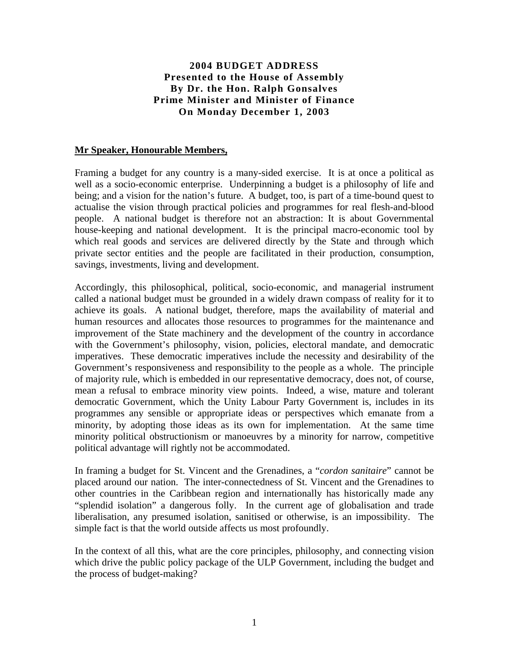### **2004 BUDGET ADDRESS Presented to the House of Assembly By Dr. the Hon. Ralph Gonsalves Prime Minister and Minister of Finance On Monday December 1, 2003**

#### **Mr Speaker, Honourable Members,**

Framing a budget for any country is a many-sided exercise. It is at once a political as well as a socio-economic enterprise. Underpinning a budget is a philosophy of life and being; and a vision for the nation's future. A budget, too, is part of a time-bound quest to actualise the vision through practical policies and programmes for real flesh-and-blood people. A national budget is therefore not an abstraction: It is about Governmental house-keeping and national development. It is the principal macro-economic tool by which real goods and services are delivered directly by the State and through which private sector entities and the people are facilitated in their production, consumption, savings, investments, living and development.

Accordingly, this philosophical, political, socio-economic, and managerial instrument called a national budget must be grounded in a widely drawn compass of reality for it to achieve its goals. A national budget, therefore, maps the availability of material and human resources and allocates those resources to programmes for the maintenance and improvement of the State machinery and the development of the country in accordance with the Government's philosophy, vision, policies, electoral mandate, and democratic imperatives. These democratic imperatives include the necessity and desirability of the Government's responsiveness and responsibility to the people as a whole. The principle of majority rule, which is embedded in our representative democracy, does not, of course, mean a refusal to embrace minority view points. Indeed, a wise, mature and tolerant democratic Government, which the Unity Labour Party Government is, includes in its programmes any sensible or appropriate ideas or perspectives which emanate from a minority, by adopting those ideas as its own for implementation. At the same time minority political obstructionism or manoeuvres by a minority for narrow, competitive political advantage will rightly not be accommodated.

In framing a budget for St. Vincent and the Grenadines, a "*cordon sanitaire*" cannot be placed around our nation. The inter-connectedness of St. Vincent and the Grenadines to other countries in the Caribbean region and internationally has historically made any "splendid isolation" a dangerous folly. In the current age of globalisation and trade liberalisation, any presumed isolation, sanitised or otherwise, is an impossibility. The simple fact is that the world outside affects us most profoundly.

In the context of all this, what are the core principles, philosophy, and connecting vision which drive the public policy package of the ULP Government, including the budget and the process of budget-making?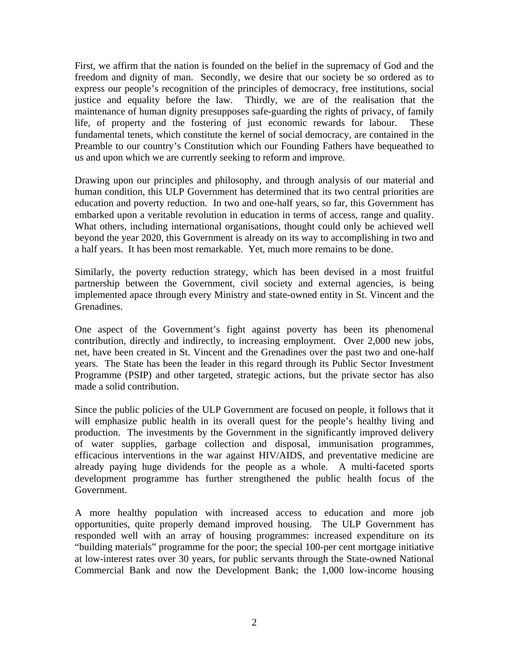First, we affirm that the nation is founded on the belief in the supremacy of God and the freedom and dignity of man. Secondly, we desire that our society be so ordered as to express our people's recognition of the principles of democracy, free institutions, social justice and equality before the law. Thirdly, we are of the realisation that the maintenance of human dignity presupposes safe-guarding the rights of privacy, of family life, of property and the fostering of just economic rewards for labour. These fundamental tenets, which constitute the kernel of social democracy, are contained in the Preamble to our country's Constitution which our Founding Fathers have bequeathed to us and upon which we are currently seeking to reform and improve.

Drawing upon our principles and philosophy, and through analysis of our material and human condition, this ULP Government has determined that its two central priorities are education and poverty reduction. In two and one-half years, so far, this Government has embarked upon a veritable revolution in education in terms of access, range and quality. What others, including international organisations, thought could only be achieved well beyond the year 2020, this Government is already on its way to accomplishing in two and a half years. It has been most remarkable. Yet, much more remains to be done.

Similarly, the poverty reduction strategy, which has been devised in a most fruitful partnership between the Government, civil society and external agencies, is being implemented apace through every Ministry and state-owned entity in St. Vincent and the Grenadines.

One aspect of the Government's fight against poverty has been its phenomenal contribution, directly and indirectly, to increasing employment. Over 2,000 new jobs, net, have been created in St. Vincent and the Grenadines over the past two and one-half years. The State has been the leader in this regard through its Public Sector Investment Programme (PSIP) and other targeted, strategic actions, but the private sector has also made a solid contribution.

Since the public policies of the ULP Government are focused on people, it follows that it will emphasize public health in its overall quest for the people's healthy living and production. The investments by the Government in the significantly improved delivery of water supplies, garbage collection and disposal, immunisation programmes, efficacious interventions in the war against HIV/AIDS, and preventative medicine are already paying huge dividends for the people as a whole. A multi-faceted sports development programme has further strengthened the public health focus of the Government.

A more healthy population with increased access to education and more job opportunities, quite properly demand improved housing. The ULP Government has responded well with an array of housing programmes: increased expenditure on its "building materials" programme for the poor; the special 100-per cent mortgage initiative at low-interest rates over 30 years, for public servants through the State-owned National Commercial Bank and now the Development Bank; the 1,000 low-income housing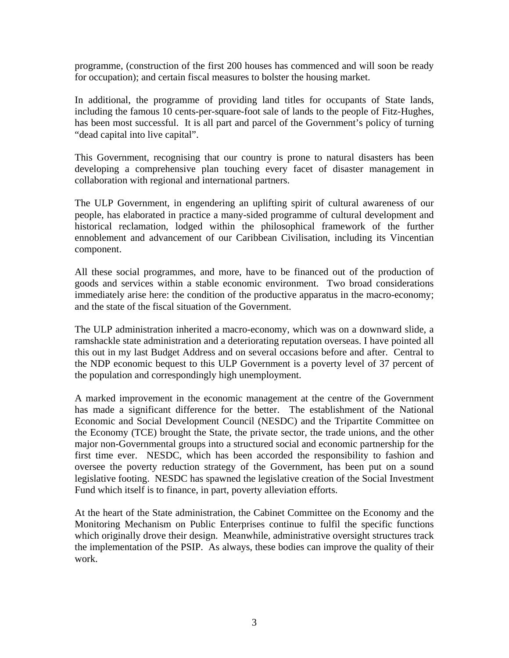programme, (construction of the first 200 houses has commenced and will soon be ready for occupation); and certain fiscal measures to bolster the housing market.

In additional, the programme of providing land titles for occupants of State lands, including the famous 10 cents-per-square-foot sale of lands to the people of Fitz-Hughes, has been most successful. It is all part and parcel of the Government's policy of turning "dead capital into live capital".

This Government, recognising that our country is prone to natural disasters has been developing a comprehensive plan touching every facet of disaster management in collaboration with regional and international partners.

The ULP Government, in engendering an uplifting spirit of cultural awareness of our people, has elaborated in practice a many-sided programme of cultural development and historical reclamation, lodged within the philosophical framework of the further ennoblement and advancement of our Caribbean Civilisation, including its Vincentian component.

All these social programmes, and more, have to be financed out of the production of goods and services within a stable economic environment. Two broad considerations immediately arise here: the condition of the productive apparatus in the macro-economy; and the state of the fiscal situation of the Government.

The ULP administration inherited a macro-economy, which was on a downward slide, a ramshackle state administration and a deteriorating reputation overseas. I have pointed all this out in my last Budget Address and on several occasions before and after. Central to the NDP economic bequest to this ULP Government is a poverty level of 37 percent of the population and correspondingly high unemployment.

A marked improvement in the economic management at the centre of the Government has made a significant difference for the better. The establishment of the National Economic and Social Development Council (NESDC) and the Tripartite Committee on the Economy (TCE) brought the State, the private sector, the trade unions, and the other major non-Governmental groups into a structured social and economic partnership for the first time ever. NESDC, which has been accorded the responsibility to fashion and oversee the poverty reduction strategy of the Government, has been put on a sound legislative footing. NESDC has spawned the legislative creation of the Social Investment Fund which itself is to finance, in part, poverty alleviation efforts.

At the heart of the State administration, the Cabinet Committee on the Economy and the Monitoring Mechanism on Public Enterprises continue to fulfil the specific functions which originally drove their design. Meanwhile, administrative oversight structures track the implementation of the PSIP. As always, these bodies can improve the quality of their work.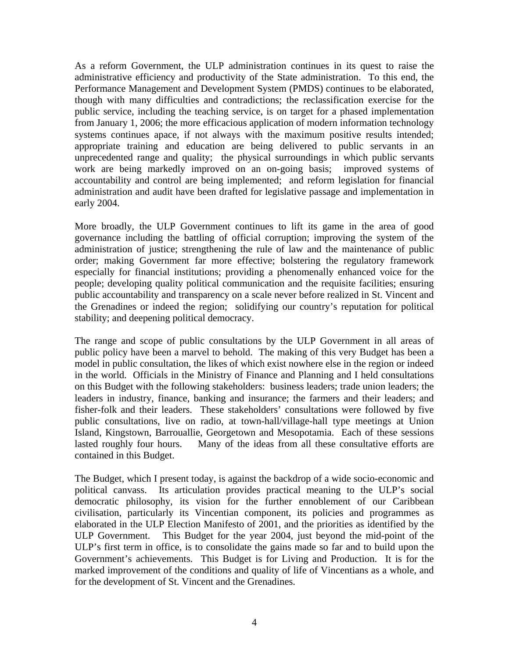As a reform Government, the ULP administration continues in its quest to raise the administrative efficiency and productivity of the State administration. To this end, the Performance Management and Development System (PMDS) continues to be elaborated, though with many difficulties and contradictions; the reclassification exercise for the public service, including the teaching service, is on target for a phased implementation from January 1, 2006; the more efficacious application of modern information technology systems continues apace, if not always with the maximum positive results intended; appropriate training and education are being delivered to public servants in an unprecedented range and quality; the physical surroundings in which public servants work are being markedly improved on an on-going basis; improved systems of accountability and control are being implemented; and reform legislation for financial administration and audit have been drafted for legislative passage and implementation in early 2004.

More broadly, the ULP Government continues to lift its game in the area of good governance including the battling of official corruption; improving the system of the administration of justice; strengthening the rule of law and the maintenance of public order; making Government far more effective; bolstering the regulatory framework especially for financial institutions; providing a phenomenally enhanced voice for the people; developing quality political communication and the requisite facilities; ensuring public accountability and transparency on a scale never before realized in St. Vincent and the Grenadines or indeed the region; solidifying our country's reputation for political stability; and deepening political democracy.

The range and scope of public consultations by the ULP Government in all areas of public policy have been a marvel to behold. The making of this very Budget has been a model in public consultation, the likes of which exist nowhere else in the region or indeed in the world. Officials in the Ministry of Finance and Planning and I held consultations on this Budget with the following stakeholders: business leaders; trade union leaders; the leaders in industry, finance, banking and insurance; the farmers and their leaders; and fisher-folk and their leaders. These stakeholders' consultations were followed by five public consultations, live on radio, at town-hall/village-hall type meetings at Union Island, Kingstown, Barrouallie, Georgetown and Mesopotamia. Each of these sessions lasted roughly four hours. Many of the ideas from all these consultative efforts are contained in this Budget.

The Budget, which I present today, is against the backdrop of a wide socio-economic and political canvass. Its articulation provides practical meaning to the ULP's social democratic philosophy, its vision for the further ennoblement of our Caribbean civilisation, particularly its Vincentian component, its policies and programmes as elaborated in the ULP Election Manifesto of 2001, and the priorities as identified by the ULP Government. This Budget for the year 2004, just beyond the mid-point of the ULP's first term in office, is to consolidate the gains made so far and to build upon the Government's achievements. This Budget is for Living and Production. It is for the marked improvement of the conditions and quality of life of Vincentians as a whole, and for the development of St. Vincent and the Grenadines.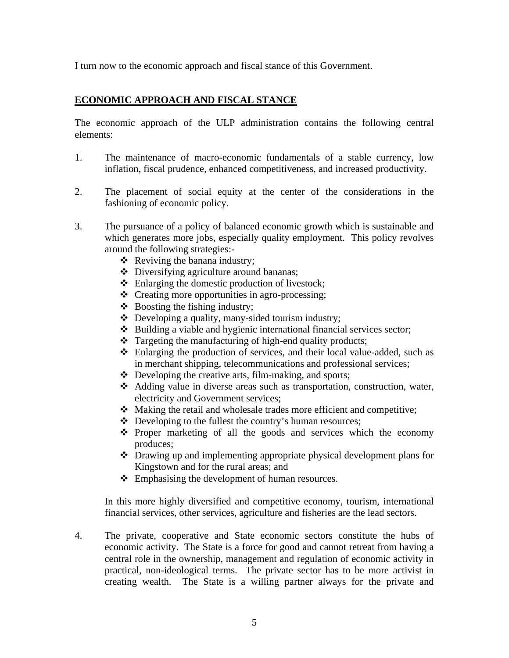I turn now to the economic approach and fiscal stance of this Government.

## **ECONOMIC APPROACH AND FISCAL STANCE**

The economic approach of the ULP administration contains the following central elements:

- 1. The maintenance of macro-economic fundamentals of a stable currency, low inflation, fiscal prudence, enhanced competitiveness, and increased productivity.
- 2. The placement of social equity at the center of the considerations in the fashioning of economic policy.
- 3. The pursuance of a policy of balanced economic growth which is sustainable and which generates more jobs, especially quality employment. This policy revolves around the following strategies:-
	- $\triangleleft$  Reviving the banana industry;
	- Diversifying agriculture around bananas;
	- Enlarging the domestic production of livestock;
	- Creating more opportunities in agro-processing;
	- $\triangleleft$  Boosting the fishing industry;
	- $\triangle$  Developing a quality, many-sided tourism industry;
	- $\triangle$  Building a viable and hygienic international financial services sector;
	- $\triangle$  Targeting the manufacturing of high-end quality products;
	- $\triangle$  Enlarging the production of services, and their local value-added, such as in merchant shipping, telecommunications and professional services;
	- $\triangle$  Developing the creative arts, film-making, and sports;
	- Adding value in diverse areas such as transportation, construction, water, electricity and Government services;
	- Making the retail and wholesale trades more efficient and competitive;
	- Developing to the fullest the country's human resources;
	- $\cdot \cdot$  Proper marketing of all the goods and services which the economy produces;
	- Drawing up and implementing appropriate physical development plans for Kingstown and for the rural areas; and
	- Emphasising the development of human resources.

In this more highly diversified and competitive economy, tourism, international financial services, other services, agriculture and fisheries are the lead sectors.

4. The private, cooperative and State economic sectors constitute the hubs of economic activity. The State is a force for good and cannot retreat from having a central role in the ownership, management and regulation of economic activity in practical, non-ideological terms. The private sector has to be more activist in creating wealth. The State is a willing partner always for the private and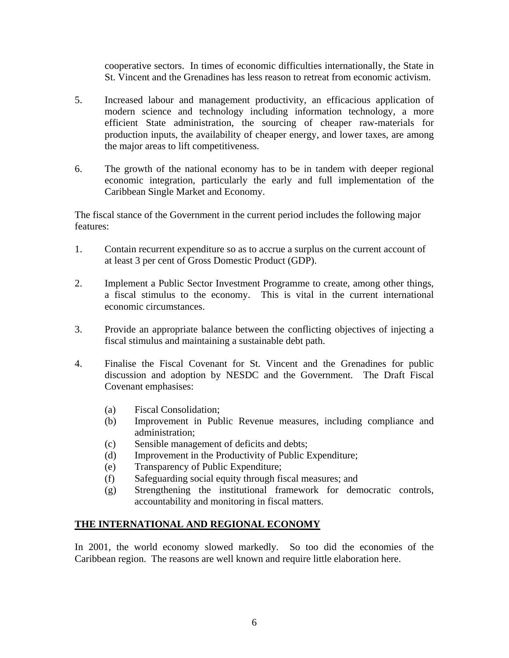cooperative sectors. In times of economic difficulties internationally, the State in St. Vincent and the Grenadines has less reason to retreat from economic activism.

- 5. Increased labour and management productivity, an efficacious application of modern science and technology including information technology, a more efficient State administration, the sourcing of cheaper raw-materials for production inputs, the availability of cheaper energy, and lower taxes, are among the major areas to lift competitiveness.
- 6. The growth of the national economy has to be in tandem with deeper regional economic integration, particularly the early and full implementation of the Caribbean Single Market and Economy.

The fiscal stance of the Government in the current period includes the following major features:

- 1. Contain recurrent expenditure so as to accrue a surplus on the current account of at least 3 per cent of Gross Domestic Product (GDP).
- 2. Implement a Public Sector Investment Programme to create, among other things, a fiscal stimulus to the economy. This is vital in the current international economic circumstances.
- 3. Provide an appropriate balance between the conflicting objectives of injecting a fiscal stimulus and maintaining a sustainable debt path.
- 4. Finalise the Fiscal Covenant for St. Vincent and the Grenadines for public discussion and adoption by NESDC and the Government. The Draft Fiscal Covenant emphasises:
	- (a) Fiscal Consolidation;
	- (b) Improvement in Public Revenue measures, including compliance and administration;
	- (c) Sensible management of deficits and debts;
	- (d) Improvement in the Productivity of Public Expenditure;
	- (e) Transparency of Public Expenditure;
	- (f) Safeguarding social equity through fiscal measures; and
	- (g) Strengthening the institutional framework for democratic controls, accountability and monitoring in fiscal matters.

#### **THE INTERNATIONAL AND REGIONAL ECONOMY**

In 2001, the world economy slowed markedly. So too did the economies of the Caribbean region. The reasons are well known and require little elaboration here.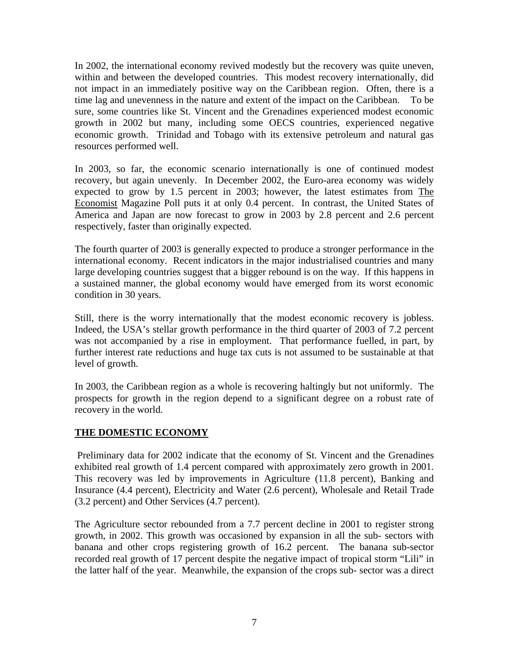In 2002, the international economy revived modestly but the recovery was quite uneven, within and between the developed countries. This modest recovery internationally, did not impact in an immediately positive way on the Caribbean region. Often, there is a time lag and unevenness in the nature and extent of the impact on the Caribbean. To be sure, some countries like St. Vincent and the Grenadines experienced modest economic growth in 2002 but many, including some OECS countries, experienced negative economic growth. Trinidad and Tobago with its extensive petroleum and natural gas resources performed well.

In 2003, so far, the economic scenario internationally is one of continued modest recovery, but again unevenly. In December 2002, the Euro-area economy was widely expected to grow by 1.5 percent in 2003; however, the latest estimates from The Economist Magazine Poll puts it at only 0.4 percent. In contrast, the United States of America and Japan are now forecast to grow in 2003 by 2.8 percent and 2.6 percent respectively, faster than originally expected.

The fourth quarter of 2003 is generally expected to produce a stronger performance in the international economy. Recent indicators in the major industrialised countries and many large developing countries suggest that a bigger rebound is on the way. If this happens in a sustained manner, the global economy would have emerged from its worst economic condition in 30 years.

Still, there is the worry internationally that the modest economic recovery is jobless. Indeed, the USA's stellar growth performance in the third quarter of 2003 of 7.2 percent was not accompanied by a rise in employment. That performance fuelled, in part, by further interest rate reductions and huge tax cuts is not assumed to be sustainable at that level of growth.

In 2003, the Caribbean region as a whole is recovering haltingly but not uniformly. The prospects for growth in the region depend to a significant degree on a robust rate of recovery in the world.

## **THE DOMESTIC ECONOMY**

Preliminary data for 2002 indicate that the economy of St. Vincent and the Grenadines exhibited real growth of 1.4 percent compared with approximately zero growth in 2001. This recovery was led by improvements in Agriculture (11.8 percent), Banking and Insurance (4.4 percent), Electricity and Water (2.6 percent), Wholesale and Retail Trade (3.2 percent) and Other Services (4.7 percent).

The Agriculture sector rebounded from a 7.7 percent decline in 2001 to register strong growth, in 2002. This growth was occasioned by expansion in all the sub- sectors with banana and other crops registering growth of 16.2 percent. The banana sub-sector recorded real growth of 17 percent despite the negative impact of tropical storm "Lili" in the latter half of the year. Meanwhile, the expansion of the crops sub- sector was a direct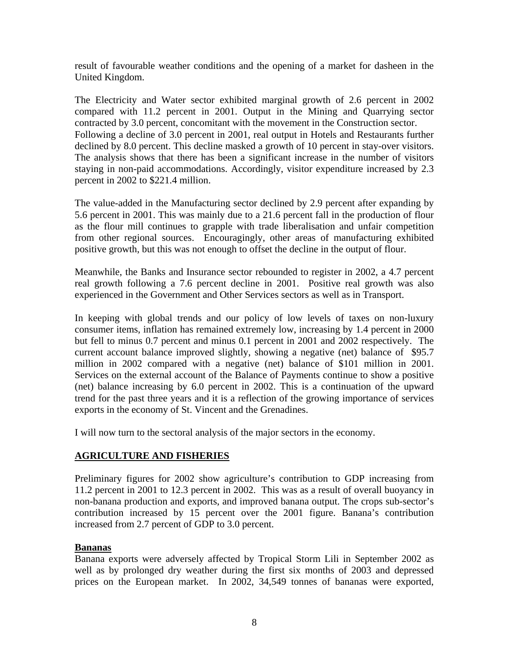result of favourable weather conditions and the opening of a market for dasheen in the United Kingdom.

The Electricity and Water sector exhibited marginal growth of 2.6 percent in 2002 compared with 11.2 percent in 2001. Output in the Mining and Quarrying sector contracted by 3.0 percent, concomitant with the movement in the Construction sector. Following a decline of 3.0 percent in 2001, real output in Hotels and Restaurants further declined by 8.0 percent. This decline masked a growth of 10 percent in stay-over visitors. The analysis shows that there has been a significant increase in the number of visitors staying in non-paid accommodations. Accordingly, visitor expenditure increased by 2.3 percent in 2002 to \$221.4 million.

The value-added in the Manufacturing sector declined by 2.9 percent after expanding by 5.6 percent in 2001. This was mainly due to a 21.6 percent fall in the production of flour as the flour mill continues to grapple with trade liberalisation and unfair competition from other regional sources. Encouragingly, other areas of manufacturing exhibited positive growth, but this was not enough to offset the decline in the output of flour.

Meanwhile, the Banks and Insurance sector rebounded to register in 2002, a 4.7 percent real growth following a 7.6 percent decline in 2001. Positive real growth was also experienced in the Government and Other Services sectors as well as in Transport.

In keeping with global trends and our policy of low levels of taxes on non-luxury consumer items, inflation has remained extremely low, increasing by 1.4 percent in 2000 but fell to minus 0.7 percent and minus 0.1 percent in 2001 and 2002 respectively. The current account balance improved slightly, showing a negative (net) balance of \$95.7 million in 2002 compared with a negative (net) balance of \$101 million in 2001. Services on the external account of the Balance of Payments continue to show a positive (net) balance increasing by 6.0 percent in 2002. This is a continuation of the upward trend for the past three years and it is a reflection of the growing importance of services exports in the economy of St. Vincent and the Grenadines.

I will now turn to the sectoral analysis of the major sectors in the economy.

## **AGRICULTURE AND FISHERIES**

Preliminary figures for 2002 show agriculture's contribution to GDP increasing from 11.2 percent in 2001 to 12.3 percent in 2002. This was as a result of overall buoyancy in non-banana production and exports, and improved banana output. The crops sub-sector's contribution increased by 15 percent over the 2001 figure. Banana's contribution increased from 2.7 percent of GDP to 3.0 percent.

## **Bananas**

Banana exports were adversely affected by Tropical Storm Lili in September 2002 as well as by prolonged dry weather during the first six months of 2003 and depressed prices on the European market. In 2002, 34,549 tonnes of bananas were exported,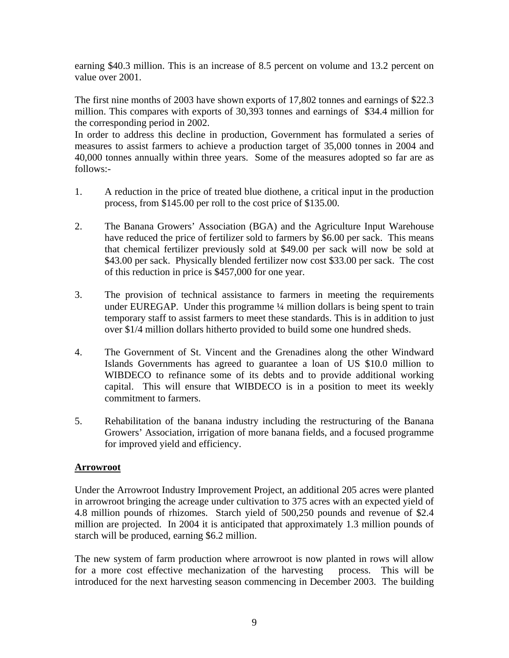earning \$40.3 million. This is an increase of 8.5 percent on volume and 13.2 percent on value over 2001.

The first nine months of 2003 have shown exports of 17,802 tonnes and earnings of \$22.3 million. This compares with exports of 30,393 tonnes and earnings of \$34.4 million for the corresponding period in 2002.

In order to address this decline in production, Government has formulated a series of measures to assist farmers to achieve a production target of 35,000 tonnes in 2004 and 40,000 tonnes annually within three years. Some of the measures adopted so far are as follows:-

- 1. A reduction in the price of treated blue diothene, a critical input in the production process, from \$145.00 per roll to the cost price of \$135.00.
- 2. The Banana Growers' Association (BGA) and the Agriculture Input Warehouse have reduced the price of fertilizer sold to farmers by \$6.00 per sack. This means that chemical fertilizer previously sold at \$49.00 per sack will now be sold at \$43.00 per sack. Physically blended fertilizer now cost \$33.00 per sack. The cost of this reduction in price is \$457,000 for one year.
- 3. The provision of technical assistance to farmers in meeting the requirements under EUREGAP. Under this programme ¼ million dollars is being spent to train temporary staff to assist farmers to meet these standards. This is in addition to just over \$1/4 million dollars hitherto provided to build some one hundred sheds.
- 4. The Government of St. Vincent and the Grenadines along the other Windward Islands Governments has agreed to guarantee a loan of US \$10.0 million to WIBDECO to refinance some of its debts and to provide additional working capital. This will ensure that WIBDECO is in a position to meet its weekly commitment to farmers.
- 5. Rehabilitation of the banana industry including the restructuring of the Banana Growers' Association, irrigation of more banana fields, and a focused programme for improved yield and efficiency.

## **Arrowroot**

Under the Arrowroot Industry Improvement Project, an additional 205 acres were planted in arrowroot bringing the acreage under cultivation to 375 acres with an expected yield of 4.8 million pounds of rhizomes. Starch yield of 500,250 pounds and revenue of \$2.4 million are projected. In 2004 it is anticipated that approximately 1.3 million pounds of starch will be produced, earning \$6.2 million.

The new system of farm production where arrowroot is now planted in rows will allow for a more cost effective mechanization of the harvesting process. This will be introduced for the next harvesting season commencing in December 2003. The building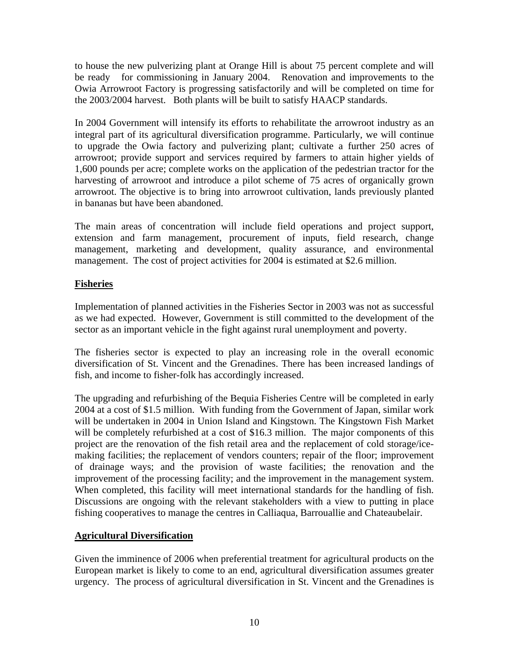to house the new pulverizing plant at Orange Hill is about 75 percent complete and will be ready for commissioning in January 2004. Renovation and improvements to the Owia Arrowroot Factory is progressing satisfactorily and will be completed on time for the 2003/2004 harvest. Both plants will be built to satisfy HAACP standards.

In 2004 Government will intensify its efforts to rehabilitate the arrowroot industry as an integral part of its agricultural diversification programme. Particularly, we will continue to upgrade the Owia factory and pulverizing plant; cultivate a further 250 acres of arrowroot; provide support and services required by farmers to attain higher yields of 1,600 pounds per acre; complete works on the application of the pedestrian tractor for the harvesting of arrowroot and introduce a pilot scheme of 75 acres of organically grown arrowroot. The objective is to bring into arrowroot cultivation, lands previously planted in bananas but have been abandoned.

The main areas of concentration will include field operations and project support, extension and farm management, procurement of inputs, field research, change management, marketing and development, quality assurance, and environmental management. The cost of project activities for 2004 is estimated at \$2.6 million.

## **Fisheries**

Implementation of planned activities in the Fisheries Sector in 2003 was not as successful as we had expected. However, Government is still committed to the development of the sector as an important vehicle in the fight against rural unemployment and poverty.

The fisheries sector is expected to play an increasing role in the overall economic diversification of St. Vincent and the Grenadines. There has been increased landings of fish, and income to fisher-folk has accordingly increased.

The upgrading and refurbishing of the Bequia Fisheries Centre will be completed in early 2004 at a cost of \$1.5 million. With funding from the Government of Japan, similar work will be undertaken in 2004 in Union Island and Kingstown. The Kingstown Fish Market will be completely refurbished at a cost of \$16.3 million. The major components of this project are the renovation of the fish retail area and the replacement of cold storage/icemaking facilities; the replacement of vendors counters; repair of the floor; improvement of drainage ways; and the provision of waste facilities; the renovation and the improvement of the processing facility; and the improvement in the management system. When completed, this facility will meet international standards for the handling of fish. Discussions are ongoing with the relevant stakeholders with a view to putting in place fishing cooperatives to manage the centres in Calliaqua, Barrouallie and Chateaubelair.

## **Agricultural Diversification**

Given the imminence of 2006 when preferential treatment for agricultural products on the European market is likely to come to an end, agricultural diversification assumes greater urgency. The process of agricultural diversification in St. Vincent and the Grenadines is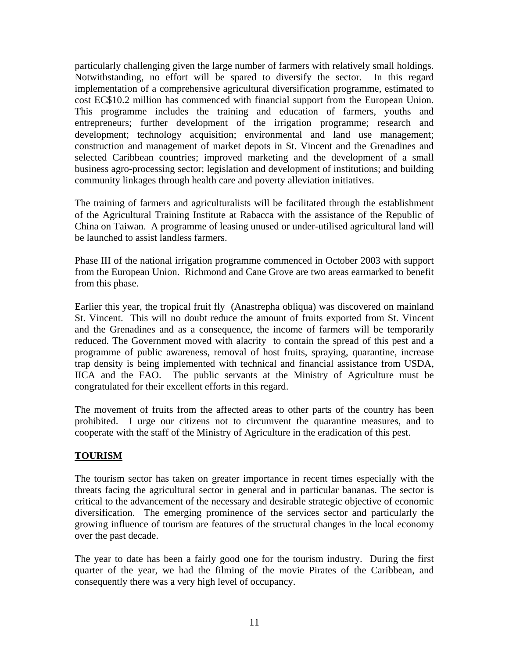particularly challenging given the large number of farmers with relatively small holdings. Notwithstanding, no effort will be spared to diversify the sector. In this regard implementation of a comprehensive agricultural diversification programme, estimated to cost EC\$10.2 million has commenced with financial support from the European Union. This programme includes the training and education of farmers, youths and entrepreneurs; further development of the irrigation programme; research and development; technology acquisition; environmental and land use management; construction and management of market depots in St. Vincent and the Grenadines and selected Caribbean countries; improved marketing and the development of a small business agro-processing sector; legislation and development of institutions; and building community linkages through health care and poverty alleviation initiatives.

The training of farmers and agriculturalists will be facilitated through the establishment of the Agricultural Training Institute at Rabacca with the assistance of the Republic of China on Taiwan. A programme of leasing unused or under-utilised agricultural land will be launched to assist landless farmers.

Phase III of the national irrigation programme commenced in October 2003 with support from the European Union. Richmond and Cane Grove are two areas earmarked to benefit from this phase.

Earlier this year, the tropical fruit fly (Anastrepha obliqua) was discovered on mainland St. Vincent. This will no doubt reduce the amount of fruits exported from St. Vincent and the Grenadines and as a consequence, the income of farmers will be temporarily reduced. The Government moved with alacrity to contain the spread of this pest and a programme of public awareness, removal of host fruits, spraying, quarantine, increase trap density is being implemented with technical and financial assistance from USDA, IICA and the FAO. The public servants at the Ministry of Agriculture must be congratulated for their excellent efforts in this regard.

The movement of fruits from the affected areas to other parts of the country has been prohibited. I urge our citizens not to circumvent the quarantine measures, and to cooperate with the staff of the Ministry of Agriculture in the eradication of this pest.

# **TOURISM**

The tourism sector has taken on greater importance in recent times especially with the threats facing the agricultural sector in general and in particular bananas. The sector is critical to the advancement of the necessary and desirable strategic objective of economic diversification. The emerging prominence of the services sector and particularly the growing influence of tourism are features of the structural changes in the local economy over the past decade.

The year to date has been a fairly good one for the tourism industry. During the first quarter of the year, we had the filming of the movie Pirates of the Caribbean, and consequently there was a very high level of occupancy.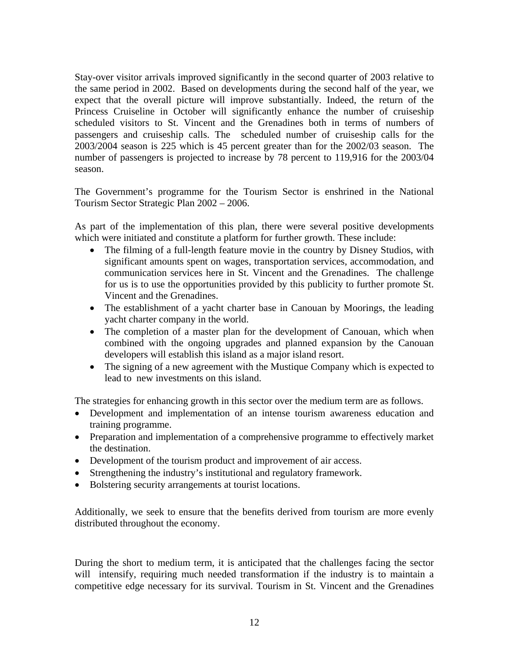Stay-over visitor arrivals improved significantly in the second quarter of 2003 relative to the same period in 2002. Based on developments during the second half of the year, we expect that the overall picture will improve substantially. Indeed, the return of the Princess Cruiseline in October will significantly enhance the number of cruiseship scheduled visitors to St. Vincent and the Grenadines both in terms of numbers of passengers and cruiseship calls. The scheduled number of cruiseship calls for the 2003/2004 season is 225 which is 45 percent greater than for the 2002/03 season. The number of passengers is projected to increase by 78 percent to 119,916 for the 2003/04 season.

The Government's programme for the Tourism Sector is enshrined in the National Tourism Sector Strategic Plan 2002 – 2006.

As part of the implementation of this plan, there were several positive developments which were initiated and constitute a platform for further growth. These include:

- The filming of a full-length feature movie in the country by Disney Studios, with significant amounts spent on wages, transportation services, accommodation, and communication services here in St. Vincent and the Grenadines. The challenge for us is to use the opportunities provided by this publicity to further promote St. Vincent and the Grenadines.
- The establishment of a yacht charter base in Canouan by Moorings, the leading yacht charter company in the world.
- The completion of a master plan for the development of Canouan, which when combined with the ongoing upgrades and planned expansion by the Canouan developers will establish this island as a major island resort.
- The signing of a new agreement with the Mustique Company which is expected to lead to new investments on this island.

The strategies for enhancing growth in this sector over the medium term are as follows.

- Development and implementation of an intense tourism awareness education and training programme.
- Preparation and implementation of a comprehensive programme to effectively market the destination.
- Development of the tourism product and improvement of air access.
- Strengthening the industry's institutional and regulatory framework.
- Bolstering security arrangements at tourist locations.

Additionally, we seek to ensure that the benefits derived from tourism are more evenly distributed throughout the economy.

During the short to medium term, it is anticipated that the challenges facing the sector will intensify, requiring much needed transformation if the industry is to maintain a competitive edge necessary for its survival. Tourism in St. Vincent and the Grenadines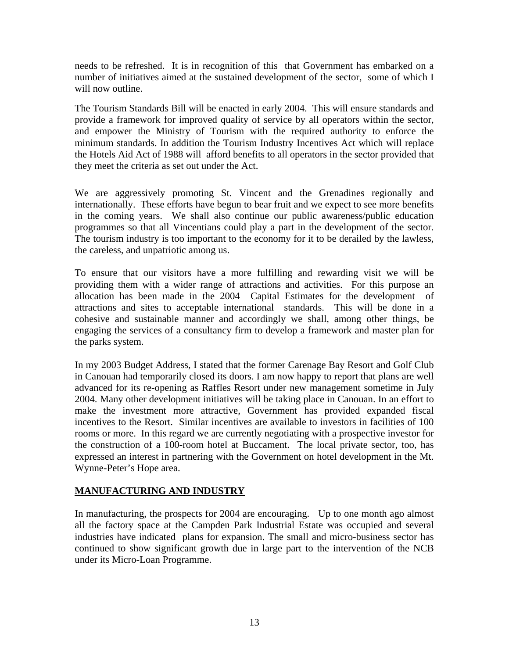needs to be refreshed. It is in recognition of this that Government has embarked on a number of initiatives aimed at the sustained development of the sector, some of which I will now outline.

The Tourism Standards Bill will be enacted in early 2004. This will ensure standards and provide a framework for improved quality of service by all operators within the sector, and empower the Ministry of Tourism with the required authority to enforce the minimum standards. In addition the Tourism Industry Incentives Act which will replace the Hotels Aid Act of 1988 will afford benefits to all operators in the sector provided that they meet the criteria as set out under the Act.

We are aggressively promoting St. Vincent and the Grenadines regionally and internationally. These efforts have begun to bear fruit and we expect to see more benefits in the coming years. We shall also continue our public awareness/public education programmes so that all Vincentians could play a part in the development of the sector. The tourism industry is too important to the economy for it to be derailed by the lawless, the careless, and unpatriotic among us.

To ensure that our visitors have a more fulfilling and rewarding visit we will be providing them with a wider range of attractions and activities. For this purpose an allocation has been made in the 2004 Capital Estimates for the development of attractions and sites to acceptable international standards. This will be done in a cohesive and sustainable manner and accordingly we shall, among other things, be engaging the services of a consultancy firm to develop a framework and master plan for the parks system.

In my 2003 Budget Address, I stated that the former Carenage Bay Resort and Golf Club in Canouan had temporarily closed its doors. I am now happy to report that plans are well advanced for its re-opening as Raffles Resort under new management sometime in July 2004. Many other development initiatives will be taking place in Canouan. In an effort to make the investment more attractive, Government has provided expanded fiscal incentives to the Resort. Similar incentives are available to investors in facilities of 100 rooms or more. In this regard we are currently negotiating with a prospective investor for the construction of a 100-room hotel at Buccament. The local private sector, too, has expressed an interest in partnering with the Government on hotel development in the Mt. Wynne-Peter's Hope area.

## **MANUFACTURING AND INDUSTRY**

In manufacturing, the prospects for 2004 are encouraging. Up to one month ago almost all the factory space at the Campden Park Industrial Estate was occupied and several industries have indicated plans for expansion. The small and micro-business sector has continued to show significant growth due in large part to the intervention of the NCB under its Micro-Loan Programme.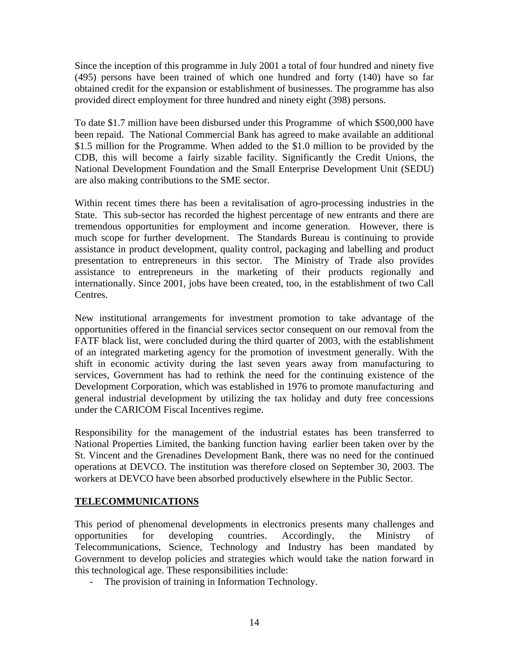Since the inception of this programme in July 2001 a total of four hundred and ninety five (495) persons have been trained of which one hundred and forty (140) have so far obtained credit for the expansion or establishment of businesses. The programme has also provided direct employment for three hundred and ninety eight (398) persons.

To date \$1.7 million have been disbursed under this Programme of which \$500,000 have been repaid. The National Commercial Bank has agreed to make available an additional \$1.5 million for the Programme. When added to the \$1.0 million to be provided by the CDB, this will become a fairly sizable facility. Significantly the Credit Unions, the National Development Foundation and the Small Enterprise Development Unit (SEDU) are also making contributions to the SME sector.

Within recent times there has been a revitalisation of agro-processing industries in the State. This sub-sector has recorded the highest percentage of new entrants and there are tremendous opportunities for employment and income generation. However, there is much scope for further development. The Standards Bureau is continuing to provide assistance in product development, quality control, packaging and labelling and product presentation to entrepreneurs in this sector. The Ministry of Trade also provides assistance to entrepreneurs in the marketing of their products regionally and internationally. Since 2001, jobs have been created, too, in the establishment of two Call Centres.

New institutional arrangements for investment promotion to take advantage of the opportunities offered in the financial services sector consequent on our removal from the FATF black list, were concluded during the third quarter of 2003, with the establishment of an integrated marketing agency for the promotion of investment generally. With the shift in economic activity during the last seven years away from manufacturing to services, Government has had to rethink the need for the continuing existence of the Development Corporation, which was established in 1976 to promote manufacturing and general industrial development by utilizing the tax holiday and duty free concessions under the CARICOM Fiscal Incentives regime.

Responsibility for the management of the industrial estates has been transferred to National Properties Limited, the banking function having earlier been taken over by the St. Vincent and the Grenadines Development Bank, there was no need for the continued operations at DEVCO. The institution was therefore closed on September 30, 2003. The workers at DEVCO have been absorbed productively elsewhere in the Public Sector.

## **TELECOMMUNICATIONS**

This period of phenomenal developments in electronics presents many challenges and opportunities for developing countries. Accordingly, the Ministry of Telecommunications, Science, Technology and Industry has been mandated by Government to develop policies and strategies which would take the nation forward in this technological age. These responsibilities include:

- The provision of training in Information Technology.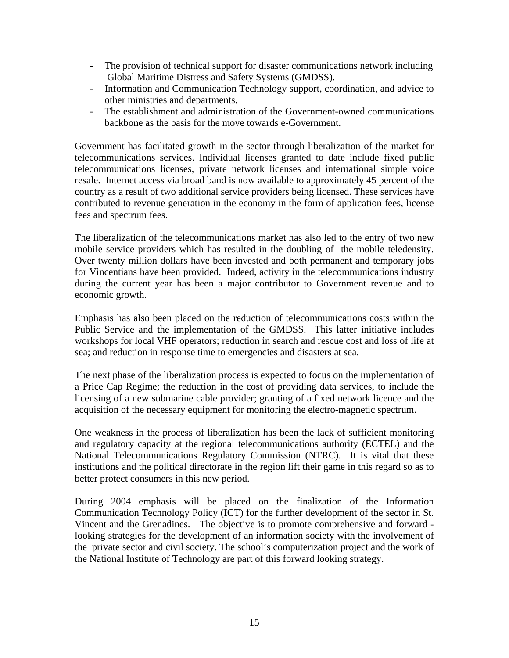- The provision of technical support for disaster communications network including Global Maritime Distress and Safety Systems (GMDSS).
- Information and Communication Technology support, coordination, and advice to other ministries and departments.
- The establishment and administration of the Government-owned communications backbone as the basis for the move towards e-Government.

Government has facilitated growth in the sector through liberalization of the market for telecommunications services. Individual licenses granted to date include fixed public telecommunications licenses, private network licenses and international simple voice resale. Internet access via broad band is now available to approximately 45 percent of the country as a result of two additional service providers being licensed. These services have contributed to revenue generation in the economy in the form of application fees, license fees and spectrum fees.

The liberalization of the telecommunications market has also led to the entry of two new mobile service providers which has resulted in the doubling of the mobile teledensity. Over twenty million dollars have been invested and both permanent and temporary jobs for Vincentians have been provided. Indeed, activity in the telecommunications industry during the current year has been a major contributor to Government revenue and to economic growth.

Emphasis has also been placed on the reduction of telecommunications costs within the Public Service and the implementation of the GMDSS. This latter initiative includes workshops for local VHF operators; reduction in search and rescue cost and loss of life at sea; and reduction in response time to emergencies and disasters at sea.

The next phase of the liberalization process is expected to focus on the implementation of a Price Cap Regime; the reduction in the cost of providing data services, to include the licensing of a new submarine cable provider; granting of a fixed network licence and the acquisition of the necessary equipment for monitoring the electro-magnetic spectrum.

One weakness in the process of liberalization has been the lack of sufficient monitoring and regulatory capacity at the regional telecommunications authority (ECTEL) and the National Telecommunications Regulatory Commission (NTRC). It is vital that these institutions and the political directorate in the region lift their game in this regard so as to better protect consumers in this new period.

During 2004 emphasis will be placed on the finalization of the Information Communication Technology Policy (ICT) for the further development of the sector in St. Vincent and the Grenadines. The objective is to promote comprehensive and forward looking strategies for the development of an information society with the involvement of the private sector and civil society. The school's computerization project and the work of the National Institute of Technology are part of this forward looking strategy.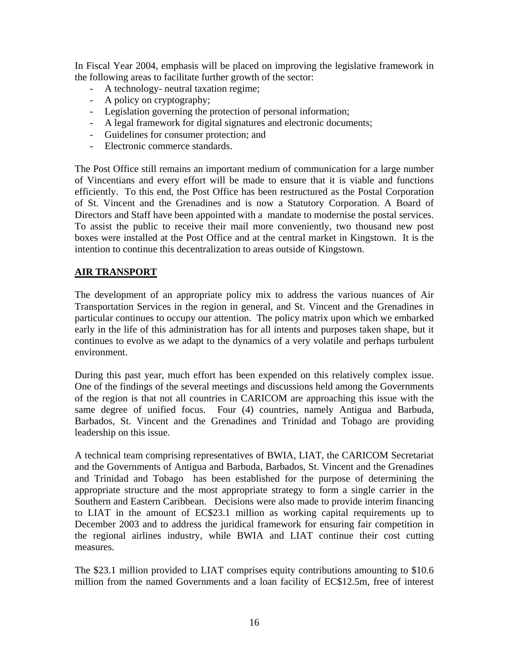In Fiscal Year 2004, emphasis will be placed on improving the legislative framework in the following areas to facilitate further growth of the sector:

- A technology- neutral taxation regime;
- A policy on cryptography;
- Legislation governing the protection of personal information;
- A legal framework for digital signatures and electronic documents;
- Guidelines for consumer protection; and
- Electronic commerce standards.

The Post Office still remains an important medium of communication for a large number of Vincentians and every effort will be made to ensure that it is viable and functions efficiently. To this end, the Post Office has been restructured as the Postal Corporation of St. Vincent and the Grenadines and is now a Statutory Corporation. A Board of Directors and Staff have been appointed with a mandate to modernise the postal services. To assist the public to receive their mail more conveniently, two thousand new post boxes were installed at the Post Office and at the central market in Kingstown. It is the intention to continue this decentralization to areas outside of Kingstown.

#### **AIR TRANSPORT**

The development of an appropriate policy mix to address the various nuances of Air Transportation Services in the region in general, and St. Vincent and the Grenadines in particular continues to occupy our attention. The policy matrix upon which we embarked early in the life of this administration has for all intents and purposes taken shape, but it continues to evolve as we adapt to the dynamics of a very volatile and perhaps turbulent environment.

During this past year, much effort has been expended on this relatively complex issue. One of the findings of the several meetings and discussions held among the Governments of the region is that not all countries in CARICOM are approaching this issue with the same degree of unified focus. Four (4) countries, namely Antigua and Barbuda, Barbados, St. Vincent and the Grenadines and Trinidad and Tobago are providing leadership on this issue.

A technical team comprising representatives of BWIA, LIAT, the CARICOM Secretariat and the Governments of Antigua and Barbuda, Barbados, St. Vincent and the Grenadines and Trinidad and Tobago has been established for the purpose of determining the appropriate structure and the most appropriate strategy to form a single carrier in the Southern and Eastern Caribbean. Decisions were also made to provide interim financing to LIAT in the amount of EC\$23.1 million as working capital requirements up to December 2003 and to address the juridical framework for ensuring fair competition in the regional airlines industry, while BWIA and LIAT continue their cost cutting measures.

The \$23.1 million provided to LIAT comprises equity contributions amounting to \$10.6 million from the named Governments and a loan facility of EC\$12.5m, free of interest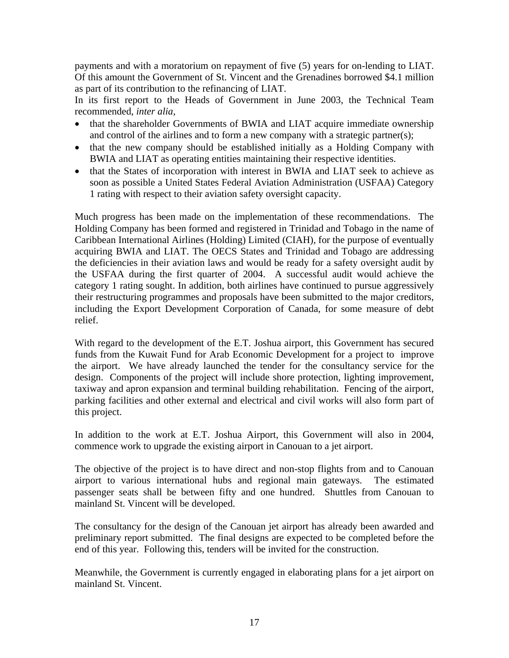payments and with a moratorium on repayment of five (5) years for on-lending to LIAT. Of this amount the Government of St. Vincent and the Grenadines borrowed \$4.1 million as part of its contribution to the refinancing of LIAT.

In its first report to the Heads of Government in June 2003, the Technical Team recommended, *inter alia*,

- that the shareholder Governments of BWIA and LIAT acquire immediate ownership and control of the airlines and to form a new company with a strategic partner(s);
- that the new company should be established initially as a Holding Company with BWIA and LIAT as operating entities maintaining their respective identities.
- that the States of incorporation with interest in BWIA and LIAT seek to achieve as soon as possible a United States Federal Aviation Administration (USFAA) Category 1 rating with respect to their aviation safety oversight capacity.

Much progress has been made on the implementation of these recommendations. The Holding Company has been formed and registered in Trinidad and Tobago in the name of Caribbean International Airlines (Holding) Limited (CIAH), for the purpose of eventually acquiring BWIA and LIAT. The OECS States and Trinidad and Tobago are addressing the deficiencies in their aviation laws and would be ready for a safety oversight audit by the USFAA during the first quarter of 2004. A successful audit would achieve the category 1 rating sought. In addition, both airlines have continued to pursue aggressively their restructuring programmes and proposals have been submitted to the major creditors, including the Export Development Corporation of Canada, for some measure of debt relief.

With regard to the development of the E.T. Joshua airport, this Government has secured funds from the Kuwait Fund for Arab Economic Development for a project to improve the airport. We have already launched the tender for the consultancy service for the design. Components of the project will include shore protection, lighting improvement, taxiway and apron expansion and terminal building rehabilitation. Fencing of the airport, parking facilities and other external and electrical and civil works will also form part of this project.

In addition to the work at E.T. Joshua Airport, this Government will also in 2004, commence work to upgrade the existing airport in Canouan to a jet airport.

The objective of the project is to have direct and non-stop flights from and to Canouan airport to various international hubs and regional main gateways. The estimated passenger seats shall be between fifty and one hundred. Shuttles from Canouan to mainland St. Vincent will be developed.

The consultancy for the design of the Canouan jet airport has already been awarded and preliminary report submitted. The final designs are expected to be completed before the end of this year. Following this, tenders will be invited for the construction.

Meanwhile, the Government is currently engaged in elaborating plans for a jet airport on mainland St. Vincent.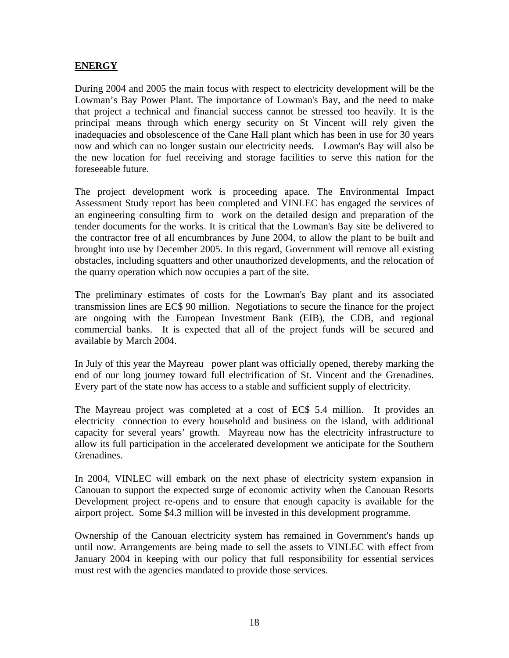### **ENERGY**

During 2004 and 2005 the main focus with respect to electricity development will be the Lowman's Bay Power Plant. The importance of Lowman's Bay, and the need to make that project a technical and financial success cannot be stressed too heavily. It is the principal means through which energy security on St Vincent will rely given the inadequacies and obsolescence of the Cane Hall plant which has been in use for 30 years now and which can no longer sustain our electricity needs. Lowman's Bay will also be the new location for fuel receiving and storage facilities to serve this nation for the foreseeable future.

The project development work is proceeding apace. The Environmental Impact Assessment Study report has been completed and VINLEC has engaged the services of an engineering consulting firm to work on the detailed design and preparation of the tender documents for the works. It is critical that the Lowman's Bay site be delivered to the contractor free of all encumbrances by June 2004, to allow the plant to be built and brought into use by December 2005. In this regard, Government will remove all existing obstacles, including squatters and other unauthorized developments, and the relocation of the quarry operation which now occupies a part of the site.

The preliminary estimates of costs for the Lowman's Bay plant and its associated transmission lines are EC\$ 90 million. Negotiations to secure the finance for the project are ongoing with the European Investment Bank (EIB), the CDB, and regional commercial banks. It is expected that all of the project funds will be secured and available by March 2004.

In July of this year the Mayreau power plant was officially opened, thereby marking the end of our long journey toward full electrification of St. Vincent and the Grenadines. Every part of the state now has access to a stable and sufficient supply of electricity.

The Mayreau project was completed at a cost of EC\$ 5.4 million. It provides an electricity connection to every household and business on the island, with additional capacity for several years' growth. Mayreau now has the electricity infrastructure to allow its full participation in the accelerated development we anticipate for the Southern Grenadines.

In 2004, VINLEC will embark on the next phase of electricity system expansion in Canouan to support the expected surge of economic activity when the Canouan Resorts Development project re-opens and to ensure that enough capacity is available for the airport project. Some \$4.3 million will be invested in this development programme.

Ownership of the Canouan electricity system has remained in Government's hands up until now. Arrangements are being made to sell the assets to VINLEC with effect from January 2004 in keeping with our policy that full responsibility for essential services must rest with the agencies mandated to provide those services.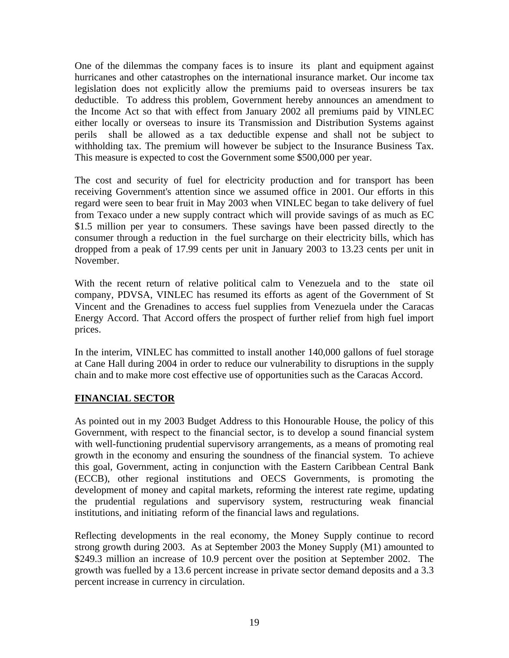One of the dilemmas the company faces is to insure its plant and equipment against hurricanes and other catastrophes on the international insurance market. Our income tax legislation does not explicitly allow the premiums paid to overseas insurers be tax deductible. To address this problem, Government hereby announces an amendment to the Income Act so that with effect from January 2002 all premiums paid by VINLEC either locally or overseas to insure its Transmission and Distribution Systems against perils shall be allowed as a tax deductible expense and shall not be subject to withholding tax. The premium will however be subject to the Insurance Business Tax. This measure is expected to cost the Government some \$500,000 per year.

The cost and security of fuel for electricity production and for transport has been receiving Government's attention since we assumed office in 2001. Our efforts in this regard were seen to bear fruit in May 2003 when VINLEC began to take delivery of fuel from Texaco under a new supply contract which will provide savings of as much as EC \$1.5 million per year to consumers. These savings have been passed directly to the consumer through a reduction in the fuel surcharge on their electricity bills, which has dropped from a peak of 17.99 cents per unit in January 2003 to 13.23 cents per unit in November.

With the recent return of relative political calm to Venezuela and to the state oil company, PDVSA, VINLEC has resumed its efforts as agent of the Government of St Vincent and the Grenadines to access fuel supplies from Venezuela under the Caracas Energy Accord. That Accord offers the prospect of further relief from high fuel import prices.

In the interim, VINLEC has committed to install another 140,000 gallons of fuel storage at Cane Hall during 2004 in order to reduce our vulnerability to disruptions in the supply chain and to make more cost effective use of opportunities such as the Caracas Accord.

## **FINANCIAL SECTOR**

As pointed out in my 2003 Budget Address to this Honourable House, the policy of this Government, with respect to the financial sector, is to develop a sound financial system with well-functioning prudential supervisory arrangements, as a means of promoting real growth in the economy and ensuring the soundness of the financial system. To achieve this goal, Government, acting in conjunction with the Eastern Caribbean Central Bank (ECCB), other regional institutions and OECS Governments, is promoting the development of money and capital markets, reforming the interest rate regime, updating the prudential regulations and supervisory system, restructuring weak financial institutions, and initiating reform of the financial laws and regulations.

Reflecting developments in the real economy, the Money Supply continue to record strong growth during 2003. As at September 2003 the Money Supply (M1) amounted to \$249.3 million an increase of 10.9 percent over the position at September 2002. The growth was fuelled by a 13.6 percent increase in private sector demand deposits and a 3.3 percent increase in currency in circulation.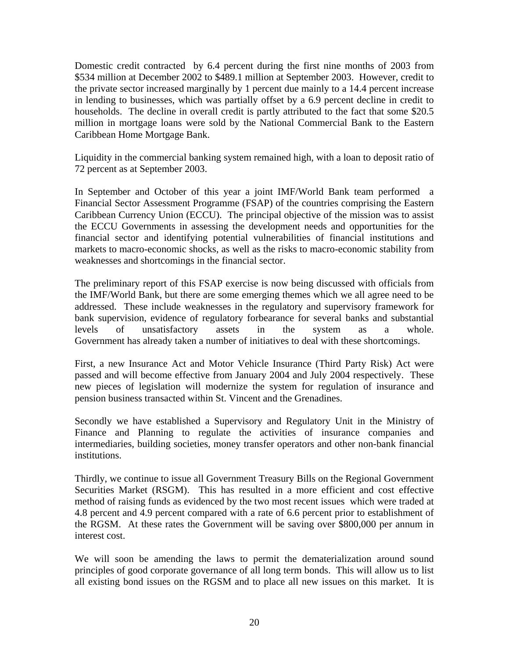Domestic credit contracted by 6.4 percent during the first nine months of 2003 from \$534 million at December 2002 to \$489.1 million at September 2003. However, credit to the private sector increased marginally by 1 percent due mainly to a 14.4 percent increase in lending to businesses, which was partially offset by a 6.9 percent decline in credit to households. The decline in overall credit is partly attributed to the fact that some \$20.5 million in mortgage loans were sold by the National Commercial Bank to the Eastern Caribbean Home Mortgage Bank.

Liquidity in the commercial banking system remained high, with a loan to deposit ratio of 72 percent as at September 2003.

In September and October of this year a joint IMF/World Bank team performed a Financial Sector Assessment Programme (FSAP) of the countries comprising the Eastern Caribbean Currency Union (ECCU). The principal objective of the mission was to assist the ECCU Governments in assessing the development needs and opportunities for the financial sector and identifying potential vulnerabilities of financial institutions and markets to macro-economic shocks, as well as the risks to macro-economic stability from weaknesses and shortcomings in the financial sector.

The preliminary report of this FSAP exercise is now being discussed with officials from the IMF/World Bank, but there are some emerging themes which we all agree need to be addressed. These include weaknesses in the regulatory and supervisory framework for bank supervision, evidence of regulatory forbearance for several banks and substantial levels of unsatisfactory assets in the system as a whole. Government has already taken a number of initiatives to deal with these shortcomings.

First, a new Insurance Act and Motor Vehicle Insurance (Third Party Risk) Act were passed and will become effective from January 2004 and July 2004 respectively. These new pieces of legislation will modernize the system for regulation of insurance and pension business transacted within St. Vincent and the Grenadines.

Secondly we have established a Supervisory and Regulatory Unit in the Ministry of Finance and Planning to regulate the activities of insurance companies and intermediaries, building societies, money transfer operators and other non-bank financial institutions.

Thirdly, we continue to issue all Government Treasury Bills on the Regional Government Securities Market (RSGM). This has resulted in a more efficient and cost effective method of raising funds as evidenced by the two most recent issues which were traded at 4.8 percent and 4.9 percent compared with a rate of 6.6 percent prior to establishment of the RGSM. At these rates the Government will be saving over \$800,000 per annum in interest cost.

We will soon be amending the laws to permit the dematerialization around sound principles of good corporate governance of all long term bonds. This will allow us to list all existing bond issues on the RGSM and to place all new issues on this market. It is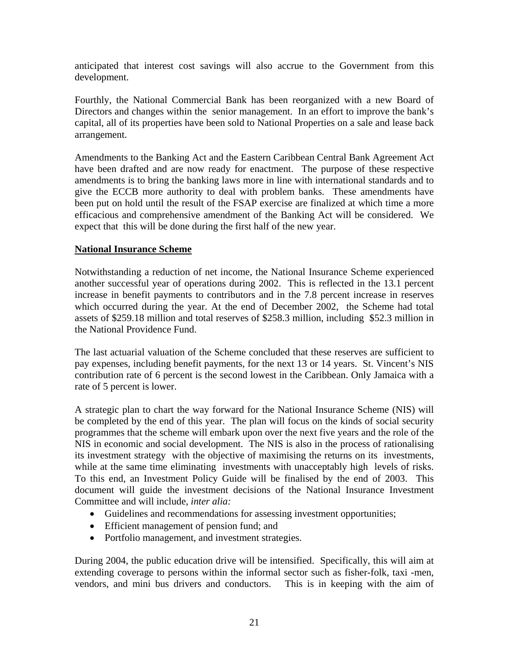anticipated that interest cost savings will also accrue to the Government from this development.

Fourthly, the National Commercial Bank has been reorganized with a new Board of Directors and changes within the senior management. In an effort to improve the bank's capital, all of its properties have been sold to National Properties on a sale and lease back arrangement.

Amendments to the Banking Act and the Eastern Caribbean Central Bank Agreement Act have been drafted and are now ready for enactment. The purpose of these respective amendments is to bring the banking laws more in line with international standards and to give the ECCB more authority to deal with problem banks. These amendments have been put on hold until the result of the FSAP exercise are finalized at which time a more efficacious and comprehensive amendment of the Banking Act will be considered. We expect that this will be done during the first half of the new year.

### **National Insurance Scheme**

Notwithstanding a reduction of net income, the National Insurance Scheme experienced another successful year of operations during 2002. This is reflected in the 13.1 percent increase in benefit payments to contributors and in the 7.8 percent increase in reserves which occurred during the year. At the end of December 2002, the Scheme had total assets of \$259.18 million and total reserves of \$258.3 million, including \$52.3 million in the National Providence Fund.

The last actuarial valuation of the Scheme concluded that these reserves are sufficient to pay expenses, including benefit payments, for the next 13 or 14 years. St. Vincent's NIS contribution rate of 6 percent is the second lowest in the Caribbean. Only Jamaica with a rate of 5 percent is lower.

A strategic plan to chart the way forward for the National Insurance Scheme (NIS) will be completed by the end of this year. The plan will focus on the kinds of social security programmes that the scheme will embark upon over the next five years and the role of the NIS in economic and social development. The NIS is also in the process of rationalising its investment strategy with the objective of maximising the returns on its investments, while at the same time eliminating investments with unacceptably high levels of risks. To this end, an Investment Policy Guide will be finalised by the end of 2003. This document will guide the investment decisions of the National Insurance Investment Committee and will include, *inter alia:*

- Guidelines and recommendations for assessing investment opportunities;
- Efficient management of pension fund; and
- Portfolio management, and investment strategies.

During 2004, the public education drive will be intensified. Specifically, this will aim at extending coverage to persons within the informal sector such as fisher-folk, taxi -men, vendors, and mini bus drivers and conductors. This is in keeping with the aim of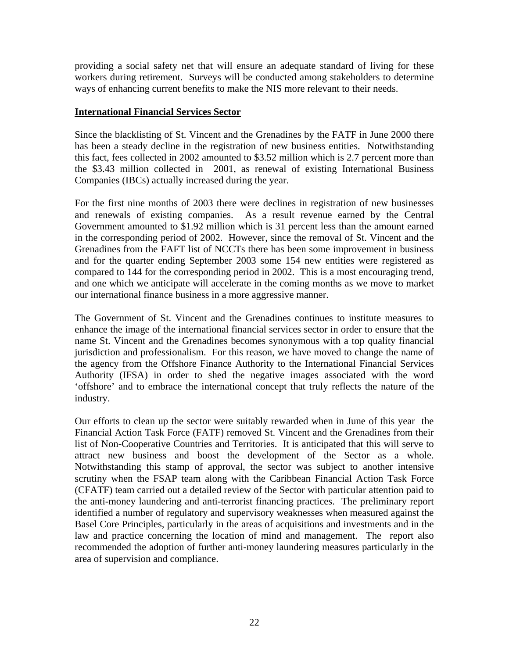providing a social safety net that will ensure an adequate standard of living for these workers during retirement. Surveys will be conducted among stakeholders to determine ways of enhancing current benefits to make the NIS more relevant to their needs.

### **International Financial Services Sector**

Since the blacklisting of St. Vincent and the Grenadines by the FATF in June 2000 there has been a steady decline in the registration of new business entities. Notwithstanding this fact, fees collected in 2002 amounted to \$3.52 million which is 2.7 percent more than the \$3.43 million collected in 2001, as renewal of existing International Business Companies (IBCs) actually increased during the year.

For the first nine months of 2003 there were declines in registration of new businesses and renewals of existing companies. As a result revenue earned by the Central Government amounted to \$1.92 million which is 31 percent less than the amount earned in the corresponding period of 2002. However, since the removal of St. Vincent and the Grenadines from the FAFT list of NCCTs there has been some improvement in business and for the quarter ending September 2003 some 154 new entities were registered as compared to 144 for the corresponding period in 2002. This is a most encouraging trend, and one which we anticipate will accelerate in the coming months as we move to market our international finance business in a more aggressive manner.

The Government of St. Vincent and the Grenadines continues to institute measures to enhance the image of the international financial services sector in order to ensure that the name St. Vincent and the Grenadines becomes synonymous with a top quality financial jurisdiction and professionalism. For this reason, we have moved to change the name of the agency from the Offshore Finance Authority to the International Financial Services Authority (IFSA) in order to shed the negative images associated with the word 'offshore' and to embrace the international concept that truly reflects the nature of the industry.

Our efforts to clean up the sector were suitably rewarded when in June of this year the Financial Action Task Force (FATF) removed St. Vincent and the Grenadines from their list of Non-Cooperative Countries and Territories. It is anticipated that this will serve to attract new business and boost the development of the Sector as a whole. Notwithstanding this stamp of approval, the sector was subject to another intensive scrutiny when the FSAP team along with the Caribbean Financial Action Task Force (CFATF) team carried out a detailed review of the Sector with particular attention paid to the anti-money laundering and anti-terrorist financing practices. The preliminary report identified a number of regulatory and supervisory weaknesses when measured against the Basel Core Principles, particularly in the areas of acquisitions and investments and in the law and practice concerning the location of mind and management. The report also recommended the adoption of further anti-money laundering measures particularly in the area of supervision and compliance.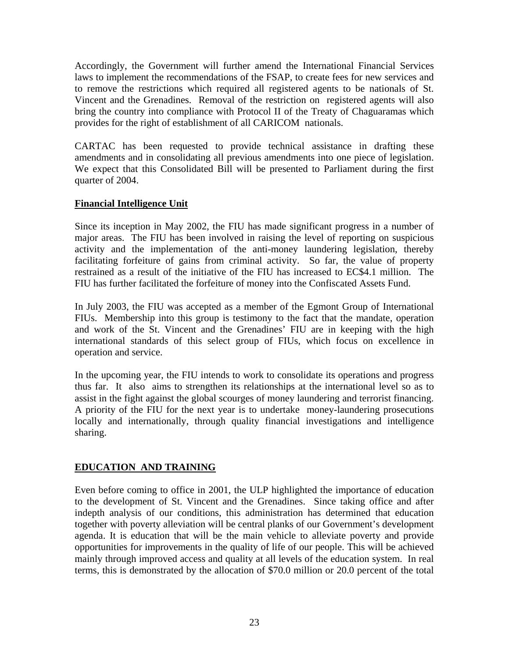Accordingly, the Government will further amend the International Financial Services laws to implement the recommendations of the FSAP, to create fees for new services and to remove the restrictions which required all registered agents to be nationals of St. Vincent and the Grenadines. Removal of the restriction on registered agents will also bring the country into compliance with Protocol II of the Treaty of Chaguaramas which provides for the right of establishment of all CARICOM nationals.

CARTAC has been requested to provide technical assistance in drafting these amendments and in consolidating all previous amendments into one piece of legislation. We expect that this Consolidated Bill will be presented to Parliament during the first quarter of 2004.

## **Financial Intelligence Unit**

Since its inception in May 2002, the FIU has made significant progress in a number of major areas. The FIU has been involved in raising the level of reporting on suspicious activity and the implementation of the anti-money laundering legislation, thereby facilitating forfeiture of gains from criminal activity. So far, the value of property restrained as a result of the initiative of the FIU has increased to EC\$4.1 million. The FIU has further facilitated the forfeiture of money into the Confiscated Assets Fund.

In July 2003, the FIU was accepted as a member of the Egmont Group of International FIUs. Membership into this group is testimony to the fact that the mandate, operation and work of the St. Vincent and the Grenadines' FIU are in keeping with the high international standards of this select group of FIUs, which focus on excellence in operation and service.

In the upcoming year, the FIU intends to work to consolidate its operations and progress thus far. It also aims to strengthen its relationships at the international level so as to assist in the fight against the global scourges of money laundering and terrorist financing. A priority of the FIU for the next year is to undertake money-laundering prosecutions locally and internationally, through quality financial investigations and intelligence sharing.

# **EDUCATION AND TRAINING**

Even before coming to office in 2001, the ULP highlighted the importance of education to the development of St. Vincent and the Grenadines. Since taking office and after indepth analysis of our conditions, this administration has determined that education together with poverty alleviation will be central planks of our Government's development agenda. It is education that will be the main vehicle to alleviate poverty and provide opportunities for improvements in the quality of life of our people. This will be achieved mainly through improved access and quality at all levels of the education system. In real terms, this is demonstrated by the allocation of \$70.0 million or 20.0 percent of the total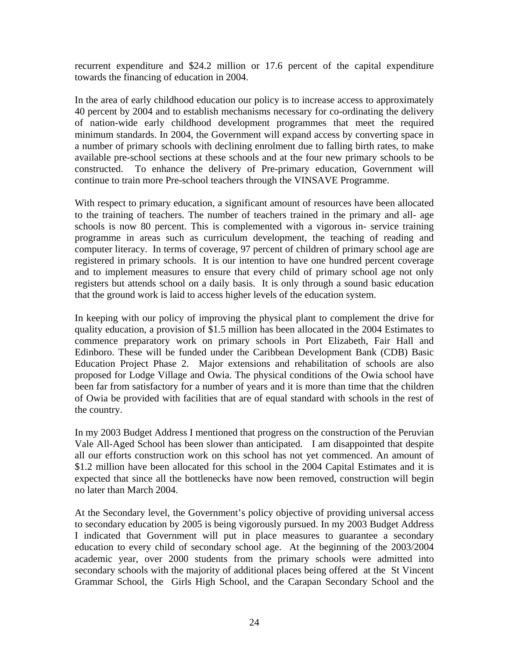recurrent expenditure and \$24.2 million or 17.6 percent of the capital expenditure towards the financing of education in 2004.

In the area of early childhood education our policy is to increase access to approximately 40 percent by 2004 and to establish mechanisms necessary for co-ordinating the delivery of nation-wide early childhood development programmes that meet the required minimum standards. In 2004, the Government will expand access by converting space in a number of primary schools with declining enrolment due to falling birth rates, to make available pre-school sections at these schools and at the four new primary schools to be constructed. To enhance the delivery of Pre-primary education, Government will continue to train more Pre-school teachers through the VINSAVE Programme.

With respect to primary education, a significant amount of resources have been allocated to the training of teachers. The number of teachers trained in the primary and all- age schools is now 80 percent. This is complemented with a vigorous in- service training programme in areas such as curriculum development, the teaching of reading and computer literacy. In terms of coverage, 97 percent of children of primary school age are registered in primary schools. It is our intention to have one hundred percent coverage and to implement measures to ensure that every child of primary school age not only registers but attends school on a daily basis. It is only through a sound basic education that the ground work is laid to access higher levels of the education system.

In keeping with our policy of improving the physical plant to complement the drive for quality education, a provision of \$1.5 million has been allocated in the 2004 Estimates to commence preparatory work on primary schools in Port Elizabeth, Fair Hall and Edinboro. These will be funded under the Caribbean Development Bank (CDB) Basic Education Project Phase 2. Major extensions and rehabilitation of schools are also proposed for Lodge Village and Owia. The physical conditions of the Owia school have been far from satisfactory for a number of years and it is more than time that the children of Owia be provided with facilities that are of equal standard with schools in the rest of the country.

In my 2003 Budget Address I mentioned that progress on the construction of the Peruvian Vale All-Aged School has been slower than anticipated. I am disappointed that despite all our efforts construction work on this school has not yet commenced. An amount of \$1.2 million have been allocated for this school in the 2004 Capital Estimates and it is expected that since all the bottlenecks have now been removed, construction will begin no later than March 2004.

At the Secondary level, the Government's policy objective of providing universal access to secondary education by 2005 is being vigorously pursued. In my 2003 Budget Address I indicated that Government will put in place measures to guarantee a secondary education to every child of secondary school age. At the beginning of the 2003/2004 academic year, over 2000 students from the primary schools were admitted into secondary schools with the majority of additional places being offered at the St Vincent Grammar School, the Girls High School, and the Carapan Secondary School and the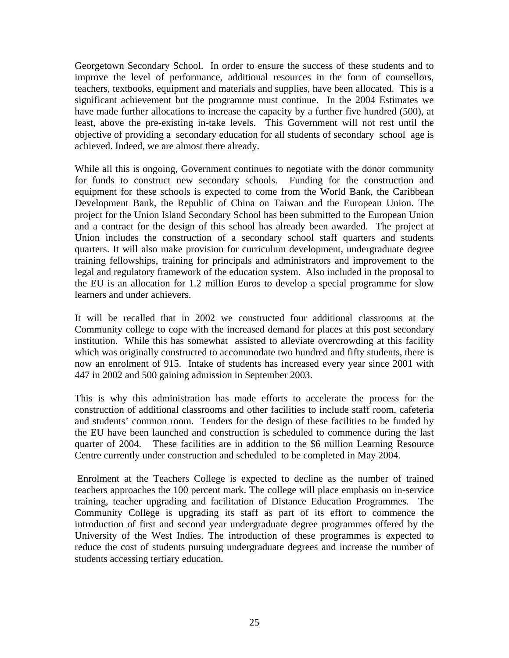Georgetown Secondary School. In order to ensure the success of these students and to improve the level of performance, additional resources in the form of counsellors, teachers, textbooks, equipment and materials and supplies, have been allocated. This is a significant achievement but the programme must continue. In the 2004 Estimates we have made further allocations to increase the capacity by a further five hundred (500), at least, above the pre-existing in-take levels. This Government will not rest until the objective of providing a secondary education for all students of secondary school age is achieved. Indeed, we are almost there already.

While all this is ongoing, Government continues to negotiate with the donor community for funds to construct new secondary schools. Funding for the construction and equipment for these schools is expected to come from the World Bank, the Caribbean Development Bank, the Republic of China on Taiwan and the European Union. The project for the Union Island Secondary School has been submitted to the European Union and a contract for the design of this school has already been awarded. The project at Union includes the construction of a secondary school staff quarters and students quarters. It will also make provision for curriculum development, undergraduate degree training fellowships, training for principals and administrators and improvement to the legal and regulatory framework of the education system. Also included in the proposal to the EU is an allocation for 1.2 million Euros to develop a special programme for slow learners and under achievers.

It will be recalled that in 2002 we constructed four additional classrooms at the Community college to cope with the increased demand for places at this post secondary institution. While this has somewhat assisted to alleviate overcrowding at this facility which was originally constructed to accommodate two hundred and fifty students, there is now an enrolment of 915. Intake of students has increased every year since 2001 with 447 in 2002 and 500 gaining admission in September 2003.

This is why this administration has made efforts to accelerate the process for the construction of additional classrooms and other facilities to include staff room, cafeteria and students' common room. Tenders for the design of these facilities to be funded by the EU have been launched and construction is scheduled to commence during the last quarter of 2004. These facilities are in addition to the \$6 million Learning Resource Centre currently under construction and scheduled to be completed in May 2004.

Enrolment at the Teachers College is expected to decline as the number of trained teachers approaches the 100 percent mark. The college will place emphasis on in-service training, teacher upgrading and facilitation of Distance Education Programmes. The Community College is upgrading its staff as part of its effort to commence the introduction of first and second year undergraduate degree programmes offered by the University of the West Indies. The introduction of these programmes is expected to reduce the cost of students pursuing undergraduate degrees and increase the number of students accessing tertiary education.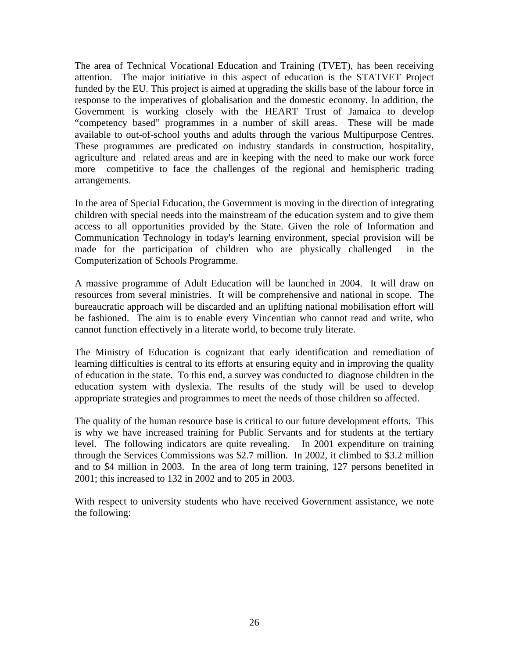The area of Technical Vocational Education and Training (TVET), has been receiving attention. The major initiative in this aspect of education is the STATVET Project funded by the EU. This project is aimed at upgrading the skills base of the labour force in response to the imperatives of globalisation and the domestic economy. In addition, the Government is working closely with the HEART Trust of Jamaica to develop "competency based" programmes in a number of skill areas. These will be made available to out-of-school youths and adults through the various Multipurpose Centres. These programmes are predicated on industry standards in construction, hospitality, agriculture and related areas and are in keeping with the need to make our work force more competitive to face the challenges of the regional and hemispheric trading arrangements.

In the area of Special Education, the Government is moving in the direction of integrating children with special needs into the mainstream of the education system and to give them access to all opportunities provided by the State. Given the role of Information and Communication Technology in today's learning environment, special provision will be made for the participation of children who are physically challenged in the Computerization of Schools Programme.

A massive programme of Adult Education will be launched in 2004. It will draw on resources from several ministries. It will be comprehensive and national in scope. The bureaucratic approach will be discarded and an uplifting national mobilisation effort will be fashioned. The aim is to enable every Vincentian who cannot read and write, who cannot function effectively in a literate world, to become truly literate.

The Ministry of Education is cognizant that early identification and remediation of learning difficulties is central to its efforts at ensuring equity and in improving the quality of education in the state. To this end, a survey was conducted to diagnose children in the education system with dyslexia. The results of the study will be used to develop appropriate strategies and programmes to meet the needs of those children so affected.

The quality of the human resource base is critical to our future development efforts. This is why we have increased training for Public Servants and for students at the tertiary level. The following indicators are quite revealing. In 2001 expenditure on training through the Services Commissions was \$2.7 million. In 2002, it climbed to \$3.2 million and to \$4 million in 2003. In the area of long term training, 127 persons benefited in 2001; this increased to 132 in 2002 and to 205 in 2003.

With respect to university students who have received Government assistance, we note the following: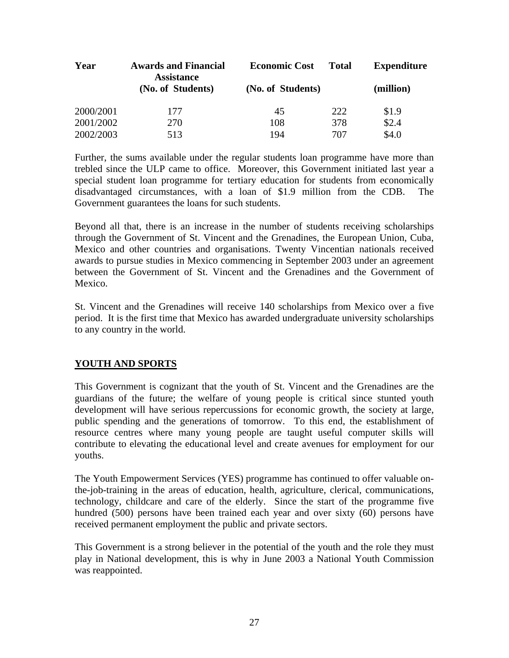| Year      | <b>Awards and Financial</b><br><b>Assistance</b> | <b>Economic Cost</b> | <b>Total</b> | <b>Expenditure</b> |
|-----------|--------------------------------------------------|----------------------|--------------|--------------------|
|           | (No. of Students)                                | (No. of Students)    |              | (million)          |
| 2000/2001 | 177                                              | 45                   | 222          | \$1.9              |
| 2001/2002 | 270                                              | 108                  | 378          | \$2.4              |
| 2002/2003 | 513                                              | 194                  | 707          | \$4.0              |

Further, the sums available under the regular students loan programme have more than trebled since the ULP came to office. Moreover, this Government initiated last year a special student loan programme for tertiary education for students from economically disadvantaged circumstances, with a loan of \$1.9 million from the CDB. The Government guarantees the loans for such students.

Beyond all that, there is an increase in the number of students receiving scholarships through the Government of St. Vincent and the Grenadines, the European Union, Cuba, Mexico and other countries and organisations. Twenty Vincentian nationals received awards to pursue studies in Mexico commencing in September 2003 under an agreement between the Government of St. Vincent and the Grenadines and the Government of Mexico.

St. Vincent and the Grenadines will receive 140 scholarships from Mexico over a five period. It is the first time that Mexico has awarded undergraduate university scholarships to any country in the world.

# **YOUTH AND SPORTS**

This Government is cognizant that the youth of St. Vincent and the Grenadines are the guardians of the future; the welfare of young people is critical since stunted youth development will have serious repercussions for economic growth, the society at large, public spending and the generations of tomorrow. To this end, the establishment of resource centres where many young people are taught useful computer skills will contribute to elevating the educational level and create avenues for employment for our youths.

The Youth Empowerment Services (YES) programme has continued to offer valuable onthe-job-training in the areas of education, health, agriculture, clerical, communications, technology, childcare and care of the elderly. Since the start of the programme five hundred (500) persons have been trained each year and over sixty (60) persons have received permanent employment the public and private sectors.

This Government is a strong believer in the potential of the youth and the role they must play in National development, this is why in June 2003 a National Youth Commission was reappointed.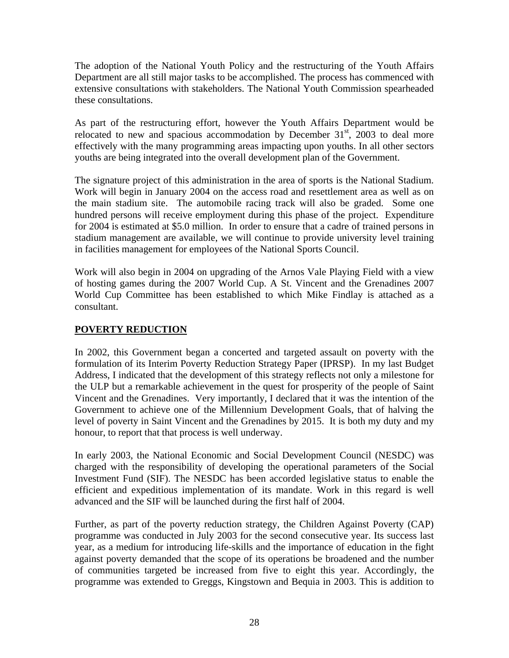The adoption of the National Youth Policy and the restructuring of the Youth Affairs Department are all still major tasks to be accomplished. The process has commenced with extensive consultations with stakeholders. The National Youth Commission spearheaded these consultations.

As part of the restructuring effort, however the Youth Affairs Department would be relocated to new and spacious accommodation by December  $31<sup>st</sup>$ , 2003 to deal more effectively with the many programming areas impacting upon youths. In all other sectors youths are being integrated into the overall development plan of the Government.

The signature project of this administration in the area of sports is the National Stadium. Work will begin in January 2004 on the access road and resettlement area as well as on the main stadium site. The automobile racing track will also be graded. Some one hundred persons will receive employment during this phase of the project. Expenditure for 2004 is estimated at \$5.0 million. In order to ensure that a cadre of trained persons in stadium management are available, we will continue to provide university level training in facilities management for employees of the National Sports Council.

Work will also begin in 2004 on upgrading of the Arnos Vale Playing Field with a view of hosting games during the 2007 World Cup. A St. Vincent and the Grenadines 2007 World Cup Committee has been established to which Mike Findlay is attached as a consultant.

## **POVERTY REDUCTION**

In 2002, this Government began a concerted and targeted assault on poverty with the formulation of its Interim Poverty Reduction Strategy Paper (IPRSP). In my last Budget Address, I indicated that the development of this strategy reflects not only a milestone for the ULP but a remarkable achievement in the quest for prosperity of the people of Saint Vincent and the Grenadines. Very importantly, I declared that it was the intention of the Government to achieve one of the Millennium Development Goals, that of halving the level of poverty in Saint Vincent and the Grenadines by 2015. It is both my duty and my honour, to report that that process is well underway.

In early 2003, the National Economic and Social Development Council (NESDC) was charged with the responsibility of developing the operational parameters of the Social Investment Fund (SIF). The NESDC has been accorded legislative status to enable the efficient and expeditious implementation of its mandate. Work in this regard is well advanced and the SIF will be launched during the first half of 2004.

Further, as part of the poverty reduction strategy, the Children Against Poverty (CAP) programme was conducted in July 2003 for the second consecutive year. Its success last year, as a medium for introducing life-skills and the importance of education in the fight against poverty demanded that the scope of its operations be broadened and the number of communities targeted be increased from five to eight this year. Accordingly, the programme was extended to Greggs, Kingstown and Bequia in 2003. This is addition to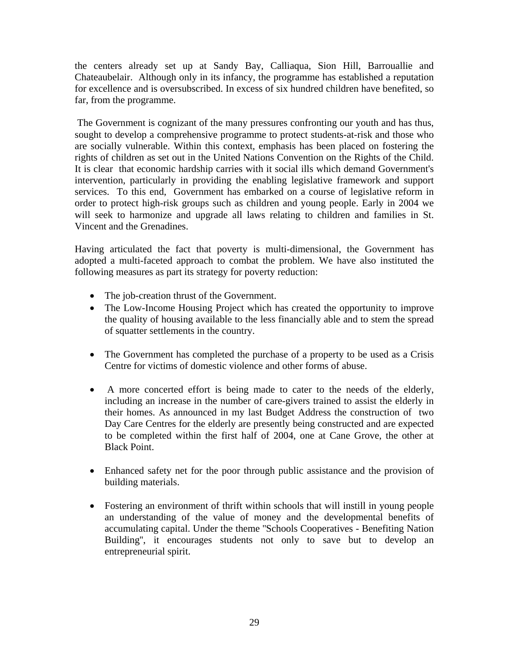the centers already set up at Sandy Bay, Calliaqua, Sion Hill, Barrouallie and Chateaubelair. Although only in its infancy, the programme has established a reputation for excellence and is oversubscribed. In excess of six hundred children have benefited, so far, from the programme.

The Government is cognizant of the many pressures confronting our youth and has thus, sought to develop a comprehensive programme to protect students-at-risk and those who are socially vulnerable. Within this context, emphasis has been placed on fostering the rights of children as set out in the United Nations Convention on the Rights of the Child. It is clear that economic hardship carries with it social ills which demand Government's intervention, particularly in providing the enabling legislative framework and support services. To this end, Government has embarked on a course of legislative reform in order to protect high-risk groups such as children and young people. Early in 2004 we will seek to harmonize and upgrade all laws relating to children and families in St. Vincent and the Grenadines.

Having articulated the fact that poverty is multi-dimensional, the Government has adopted a multi-faceted approach to combat the problem. We have also instituted the following measures as part its strategy for poverty reduction:

- The job-creation thrust of the Government.
- The Low-Income Housing Project which has created the opportunity to improve the quality of housing available to the less financially able and to stem the spread of squatter settlements in the country.
- The Government has completed the purchase of a property to be used as a Crisis Centre for victims of domestic violence and other forms of abuse.
- A more concerted effort is being made to cater to the needs of the elderly, including an increase in the number of care-givers trained to assist the elderly in their homes. As announced in my last Budget Address the construction of two Day Care Centres for the elderly are presently being constructed and are expected to be completed within the first half of 2004, one at Cane Grove, the other at Black Point.
- Enhanced safety net for the poor through public assistance and the provision of building materials.
- Fostering an environment of thrift within schools that will instill in young people an understanding of the value of money and the developmental benefits of accumulating capital. Under the theme ''Schools Cooperatives - Benefiting Nation Building'', it encourages students not only to save but to develop an entrepreneurial spirit.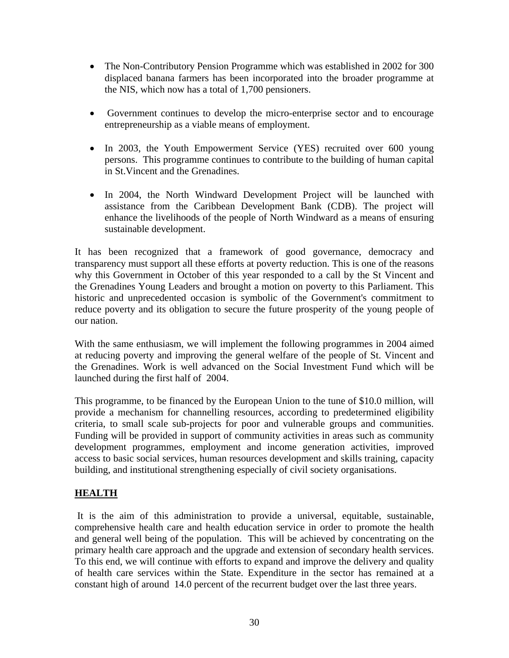- The Non-Contributory Pension Programme which was established in 2002 for 300 displaced banana farmers has been incorporated into the broader programme at the NIS, which now has a total of 1,700 pensioners.
- Government continues to develop the micro-enterprise sector and to encourage entrepreneurship as a viable means of employment.
- In 2003, the Youth Empowerment Service (YES) recruited over 600 young persons. This programme continues to contribute to the building of human capital in St.Vincent and the Grenadines.
- In 2004, the North Windward Development Project will be launched with assistance from the Caribbean Development Bank (CDB). The project will enhance the livelihoods of the people of North Windward as a means of ensuring sustainable development.

It has been recognized that a framework of good governance, democracy and transparency must support all these efforts at poverty reduction. This is one of the reasons why this Government in October of this year responded to a call by the St Vincent and the Grenadines Young Leaders and brought a motion on poverty to this Parliament. This historic and unprecedented occasion is symbolic of the Government's commitment to reduce poverty and its obligation to secure the future prosperity of the young people of our nation.

With the same enthusiasm, we will implement the following programmes in 2004 aimed at reducing poverty and improving the general welfare of the people of St. Vincent and the Grenadines. Work is well advanced on the Social Investment Fund which will be launched during the first half of 2004.

This programme, to be financed by the European Union to the tune of \$10.0 million, will provide a mechanism for channelling resources, according to predetermined eligibility criteria, to small scale sub-projects for poor and vulnerable groups and communities. Funding will be provided in support of community activities in areas such as community development programmes, employment and income generation activities, improved access to basic social services, human resources development and skills training, capacity building, and institutional strengthening especially of civil society organisations.

## **HEALTH**

It is the aim of this administration to provide a universal, equitable, sustainable, comprehensive health care and health education service in order to promote the health and general well being of the population. This will be achieved by concentrating on the primary health care approach and the upgrade and extension of secondary health services. To this end, we will continue with efforts to expand and improve the delivery and quality of health care services within the State. Expenditure in the sector has remained at a constant high of around 14.0 percent of the recurrent budget over the last three years.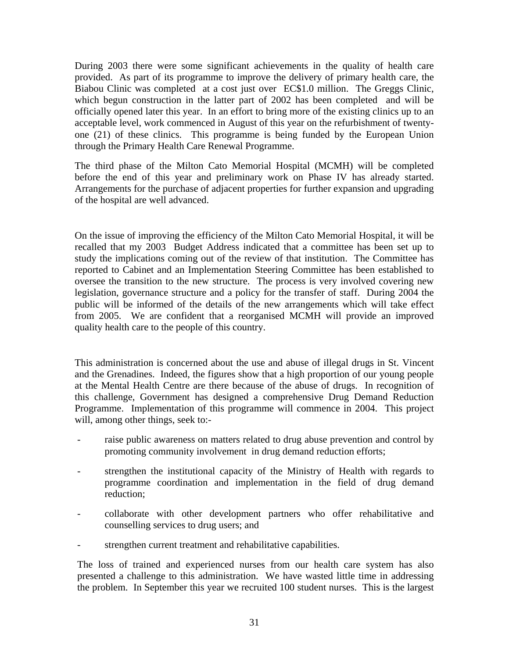During 2003 there were some significant achievements in the quality of health care provided. As part of its programme to improve the delivery of primary health care, the Biabou Clinic was completed at a cost just over EC\$1.0 million. The Greggs Clinic, which begun construction in the latter part of 2002 has been completed and will be officially opened later this year. In an effort to bring more of the existing clinics up to an acceptable level, work commenced in August of this year on the refurbishment of twentyone (21) of these clinics. This programme is being funded by the European Union through the Primary Health Care Renewal Programme.

The third phase of the Milton Cato Memorial Hospital (MCMH) will be completed before the end of this year and preliminary work on Phase IV has already started. Arrangements for the purchase of adjacent properties for further expansion and upgrading of the hospital are well advanced.

On the issue of improving the efficiency of the Milton Cato Memorial Hospital, it will be recalled that my 2003 Budget Address indicated that a committee has been set up to study the implications coming out of the review of that institution. The Committee has reported to Cabinet and an Implementation Steering Committee has been established to oversee the transition to the new structure. The process is very involved covering new legislation, governance structure and a policy for the transfer of staff. During 2004 the public will be informed of the details of the new arrangements which will take effect from 2005. We are confident that a reorganised MCMH will provide an improved quality health care to the people of this country.

This administration is concerned about the use and abuse of illegal drugs in St. Vincent and the Grenadines. Indeed, the figures show that a high proportion of our young people at the Mental Health Centre are there because of the abuse of drugs. In recognition of this challenge, Government has designed a comprehensive Drug Demand Reduction Programme. Implementation of this programme will commence in 2004. This project will, among other things, seek to:-

- raise public awareness on matters related to drug abuse prevention and control by promoting community involvement in drug demand reduction efforts;
- strengthen the institutional capacity of the Ministry of Health with regards to programme coordination and implementation in the field of drug demand reduction;
- collaborate with other development partners who offer rehabilitative and counselling services to drug users; and
- strengthen current treatment and rehabilitative capabilities.

The loss of trained and experienced nurses from our health care system has also presented a challenge to this administration. We have wasted little time in addressing the problem. In September this year we recruited 100 student nurses. This is the largest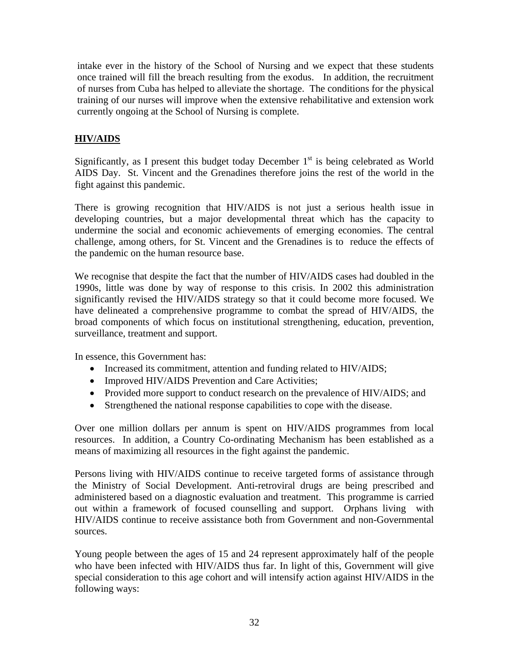intake ever in the history of the School of Nursing and we expect that these students once trained will fill the breach resulting from the exodus. In addition, the recruitment of nurses from Cuba has helped to alleviate the shortage. The conditions for the physical training of our nurses will improve when the extensive rehabilitative and extension work currently ongoing at the School of Nursing is complete.

## **HIV/AIDS**

Significantly, as I present this budget today December  $1<sup>st</sup>$  is being celebrated as World AIDS Day. St. Vincent and the Grenadines therefore joins the rest of the world in the fight against this pandemic.

There is growing recognition that HIV/AIDS is not just a serious health issue in developing countries, but a major developmental threat which has the capacity to undermine the social and economic achievements of emerging economies. The central challenge, among others, for St. Vincent and the Grenadines is to reduce the effects of the pandemic on the human resource base.

We recognise that despite the fact that the number of HIV/AIDS cases had doubled in the 1990s, little was done by way of response to this crisis. In 2002 this administration significantly revised the HIV/AIDS strategy so that it could become more focused. We have delineated a comprehensive programme to combat the spread of HIV/AIDS, the broad components of which focus on institutional strengthening, education, prevention, surveillance, treatment and support.

In essence, this Government has:

- Increased its commitment, attention and funding related to HIV/AIDS;
- Improved HIV/AIDS Prevention and Care Activities;
- Provided more support to conduct research on the prevalence of HIV/AIDS; and
- Strengthened the national response capabilities to cope with the disease.

Over one million dollars per annum is spent on HIV/AIDS programmes from local resources. In addition, a Country Co-ordinating Mechanism has been established as a means of maximizing all resources in the fight against the pandemic.

Persons living with HIV/AIDS continue to receive targeted forms of assistance through the Ministry of Social Development. Anti-retroviral drugs are being prescribed and administered based on a diagnostic evaluation and treatment. This programme is carried out within a framework of focused counselling and support. Orphans living with HIV/AIDS continue to receive assistance both from Government and non-Governmental sources.

Young people between the ages of 15 and 24 represent approximately half of the people who have been infected with HIV/AIDS thus far. In light of this, Government will give special consideration to this age cohort and will intensify action against HIV/AIDS in the following ways: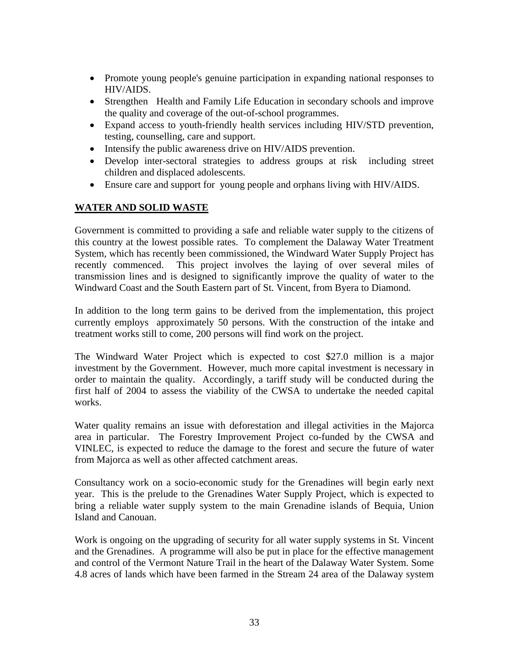- Promote young people's genuine participation in expanding national responses to HIV/AIDS.
- Strengthen Health and Family Life Education in secondary schools and improve the quality and coverage of the out-of-school programmes.
- Expand access to youth-friendly health services including HIV/STD prevention, testing, counselling, care and support.
- Intensify the public awareness drive on HIV/AIDS prevention.
- Develop inter-sectoral strategies to address groups at risk including street children and displaced adolescents.
- Ensure care and support for young people and orphans living with HIV/AIDS.

# **WATER AND SOLID WASTE**

Government is committed to providing a safe and reliable water supply to the citizens of this country at the lowest possible rates. To complement the Dalaway Water Treatment System, which has recently been commissioned, the Windward Water Supply Project has recently commenced. This project involves the laying of over several miles of transmission lines and is designed to significantly improve the quality of water to the Windward Coast and the South Eastern part of St. Vincent, from Byera to Diamond.

In addition to the long term gains to be derived from the implementation, this project currently employs approximately 50 persons. With the construction of the intake and treatment works still to come, 200 persons will find work on the project.

The Windward Water Project which is expected to cost \$27.0 million is a major investment by the Government. However, much more capital investment is necessary in order to maintain the quality. Accordingly, a tariff study will be conducted during the first half of 2004 to assess the viability of the CWSA to undertake the needed capital works.

Water quality remains an issue with deforestation and illegal activities in the Majorca area in particular. The Forestry Improvement Project co-funded by the CWSA and VINLEC, is expected to reduce the damage to the forest and secure the future of water from Majorca as well as other affected catchment areas.

Consultancy work on a socio-economic study for the Grenadines will begin early next year. This is the prelude to the Grenadines Water Supply Project, which is expected to bring a reliable water supply system to the main Grenadine islands of Bequia, Union Island and Canouan.

Work is ongoing on the upgrading of security for all water supply systems in St. Vincent and the Grenadines. A programme will also be put in place for the effective management and control of the Vermont Nature Trail in the heart of the Dalaway Water System. Some 4.8 acres of lands which have been farmed in the Stream 24 area of the Dalaway system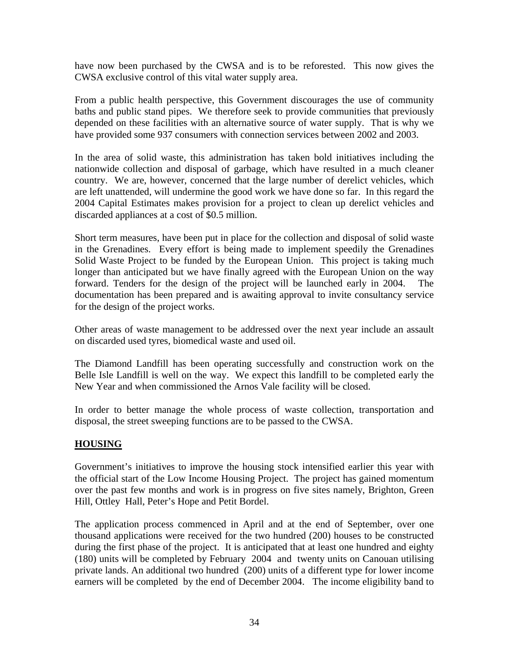have now been purchased by the CWSA and is to be reforested. This now gives the CWSA exclusive control of this vital water supply area.

From a public health perspective, this Government discourages the use of community baths and public stand pipes. We therefore seek to provide communities that previously depended on these facilities with an alternative source of water supply. That is why we have provided some 937 consumers with connection services between 2002 and 2003.

In the area of solid waste, this administration has taken bold initiatives including the nationwide collection and disposal of garbage, which have resulted in a much cleaner country. We are, however, concerned that the large number of derelict vehicles, which are left unattended, will undermine the good work we have done so far. In this regard the 2004 Capital Estimates makes provision for a project to clean up derelict vehicles and discarded appliances at a cost of \$0.5 million.

Short term measures, have been put in place for the collection and disposal of solid waste in the Grenadines. Every effort is being made to implement speedily the Grenadines Solid Waste Project to be funded by the European Union. This project is taking much longer than anticipated but we have finally agreed with the European Union on the way forward. Tenders for the design of the project will be launched early in 2004. The documentation has been prepared and is awaiting approval to invite consultancy service for the design of the project works.

Other areas of waste management to be addressed over the next year include an assault on discarded used tyres, biomedical waste and used oil.

The Diamond Landfill has been operating successfully and construction work on the Belle Isle Landfill is well on the way. We expect this landfill to be completed early the New Year and when commissioned the Arnos Vale facility will be closed.

In order to better manage the whole process of waste collection, transportation and disposal, the street sweeping functions are to be passed to the CWSA.

## **HOUSING**

Government's initiatives to improve the housing stock intensified earlier this year with the official start of the Low Income Housing Project. The project has gained momentum over the past few months and work is in progress on five sites namely, Brighton, Green Hill, Ottley Hall, Peter's Hope and Petit Bordel.

The application process commenced in April and at the end of September, over one thousand applications were received for the two hundred (200) houses to be constructed during the first phase of the project. It is anticipated that at least one hundred and eighty (180) units will be completed by February 2004 and twenty units on Canouan utilising private lands. An additional two hundred (200) units of a different type for lower income earners will be completed by the end of December 2004. The income eligibility band to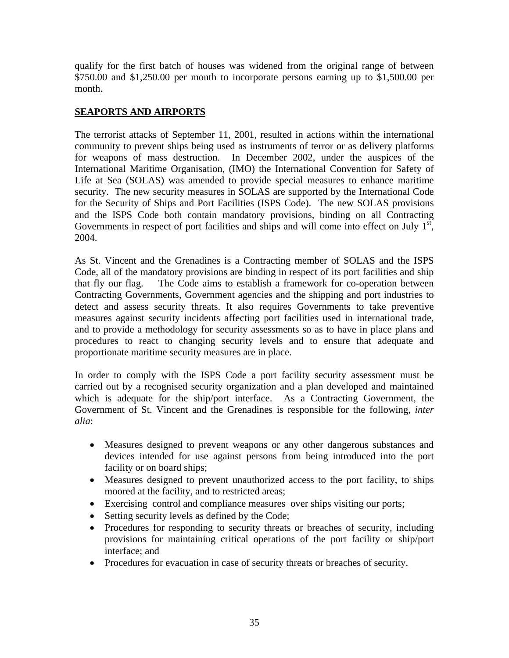qualify for the first batch of houses was widened from the original range of between \$750.00 and \$1,250.00 per month to incorporate persons earning up to \$1,500.00 per month.

## **SEAPORTS AND AIRPORTS**

The terrorist attacks of September 11, 2001, resulted in actions within the international community to prevent ships being used as instruments of terror or as delivery platforms for weapons of mass destruction. In December 2002, under the auspices of the International Maritime Organisation, (IMO) the International Convention for Safety of Life at Sea (SOLAS) was amended to provide special measures to enhance maritime security. The new security measures in SOLAS are supported by the International Code for the Security of Ships and Port Facilities (ISPS Code). The new SOLAS provisions and the ISPS Code both contain mandatory provisions, binding on all Contracting Governments in respect of port facilities and ships and will come into effect on July  $1<sup>st</sup>$ , 2004.

As St. Vincent and the Grenadines is a Contracting member of SOLAS and the ISPS Code, all of the mandatory provisions are binding in respect of its port facilities and ship that fly our flag. The Code aims to establish a framework for co-operation between Contracting Governments, Government agencies and the shipping and port industries to detect and assess security threats. It also requires Governments to take preventive measures against security incidents affecting port facilities used in international trade, and to provide a methodology for security assessments so as to have in place plans and procedures to react to changing security levels and to ensure that adequate and proportionate maritime security measures are in place.

In order to comply with the ISPS Code a port facility security assessment must be carried out by a recognised security organization and a plan developed and maintained which is adequate for the ship/port interface. As a Contracting Government, the Government of St. Vincent and the Grenadines is responsible for the following, *inter alia*:

- Measures designed to prevent weapons or any other dangerous substances and devices intended for use against persons from being introduced into the port facility or on board ships;
- Measures designed to prevent unauthorized access to the port facility, to ships moored at the facility, and to restricted areas;
- Exercising control and compliance measures over ships visiting our ports;
- Setting security levels as defined by the Code;
- Procedures for responding to security threats or breaches of security, including provisions for maintaining critical operations of the port facility or ship/port interface; and
- Procedures for evacuation in case of security threats or breaches of security.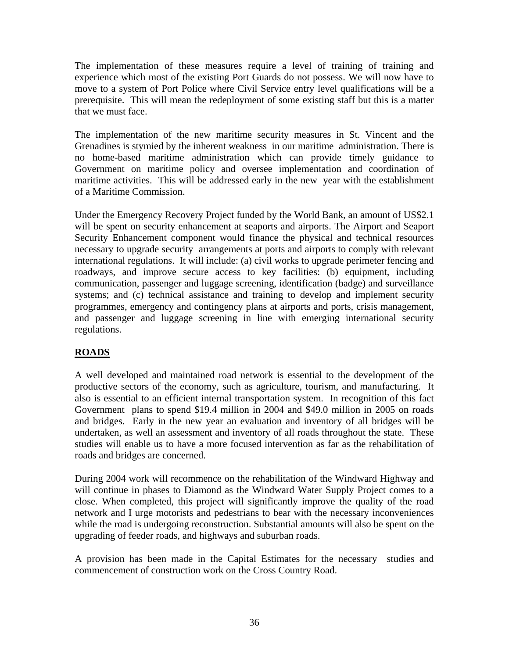The implementation of these measures require a level of training of training and experience which most of the existing Port Guards do not possess. We will now have to move to a system of Port Police where Civil Service entry level qualifications will be a prerequisite. This will mean the redeployment of some existing staff but this is a matter that we must face.

The implementation of the new maritime security measures in St. Vincent and the Grenadines is stymied by the inherent weakness in our maritime administration. There is no home-based maritime administration which can provide timely guidance to Government on maritime policy and oversee implementation and coordination of maritime activities. This will be addressed early in the new year with the establishment of a Maritime Commission.

Under the Emergency Recovery Project funded by the World Bank, an amount of US\$2.1 will be spent on security enhancement at seaports and airports. The Airport and Seaport Security Enhancement component would finance the physical and technical resources necessary to upgrade security arrangements at ports and airports to comply with relevant international regulations. It will include: (a) civil works to upgrade perimeter fencing and roadways, and improve secure access to key facilities: (b) equipment, including communication, passenger and luggage screening, identification (badge) and surveillance systems; and (c) technical assistance and training to develop and implement security programmes, emergency and contingency plans at airports and ports, crisis management, and passenger and luggage screening in line with emerging international security regulations.

# **ROADS**

A well developed and maintained road network is essential to the development of the productive sectors of the economy, such as agriculture, tourism, and manufacturing. It also is essential to an efficient internal transportation system. In recognition of this fact Government plans to spend \$19.4 million in 2004 and \$49.0 million in 2005 on roads and bridges. Early in the new year an evaluation and inventory of all bridges will be undertaken, as well an assessment and inventory of all roads throughout the state. These studies will enable us to have a more focused intervention as far as the rehabilitation of roads and bridges are concerned.

During 2004 work will recommence on the rehabilitation of the Windward Highway and will continue in phases to Diamond as the Windward Water Supply Project comes to a close. When completed, this project will significantly improve the quality of the road network and I urge motorists and pedestrians to bear with the necessary inconveniences while the road is undergoing reconstruction. Substantial amounts will also be spent on the upgrading of feeder roads, and highways and suburban roads.

A provision has been made in the Capital Estimates for the necessary studies and commencement of construction work on the Cross Country Road.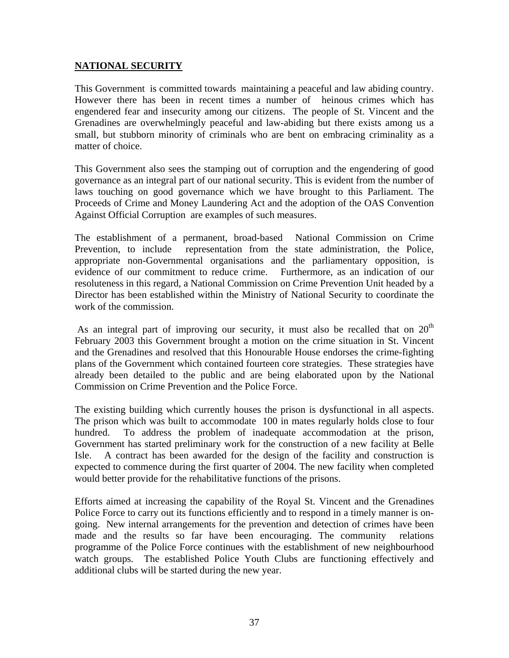## **NATIONAL SECURITY**

This Government is committed towards maintaining a peaceful and law abiding country. However there has been in recent times a number of heinous crimes which has engendered fear and insecurity among our citizens. The people of St. Vincent and the Grenadines are overwhelmingly peaceful and law-abiding but there exists among us a small, but stubborn minority of criminals who are bent on embracing criminality as a matter of choice.

This Government also sees the stamping out of corruption and the engendering of good governance as an integral part of our national security. This is evident from the number of laws touching on good governance which we have brought to this Parliament. The Proceeds of Crime and Money Laundering Act and the adoption of the OAS Convention Against Official Corruption are examples of such measures.

The establishment of a permanent, broad-based National Commission on Crime Prevention, to include representation from the state administration, the Police, appropriate non-Governmental organisations and the parliamentary opposition, is evidence of our commitment to reduce crime. Furthermore, as an indication of our resoluteness in this regard, a National Commission on Crime Prevention Unit headed by a Director has been established within the Ministry of National Security to coordinate the work of the commission.

As an integral part of improving our security, it must also be recalled that on  $20<sup>th</sup>$ February 2003 this Government brought a motion on the crime situation in St. Vincent and the Grenadines and resolved that this Honourable House endorses the crime-fighting plans of the Government which contained fourteen core strategies. These strategies have already been detailed to the public and are being elaborated upon by the National Commission on Crime Prevention and the Police Force.

The existing building which currently houses the prison is dysfunctional in all aspects. The prison which was built to accommodate 100 in mates regularly holds close to four hundred. To address the problem of inadequate accommodation at the prison, Government has started preliminary work for the construction of a new facility at Belle Isle. A contract has been awarded for the design of the facility and construction is expected to commence during the first quarter of 2004. The new facility when completed would better provide for the rehabilitative functions of the prisons.

Efforts aimed at increasing the capability of the Royal St. Vincent and the Grenadines Police Force to carry out its functions efficiently and to respond in a timely manner is ongoing. New internal arrangements for the prevention and detection of crimes have been made and the results so far have been encouraging. The community relations programme of the Police Force continues with the establishment of new neighbourhood watch groups. The established Police Youth Clubs are functioning effectively and additional clubs will be started during the new year.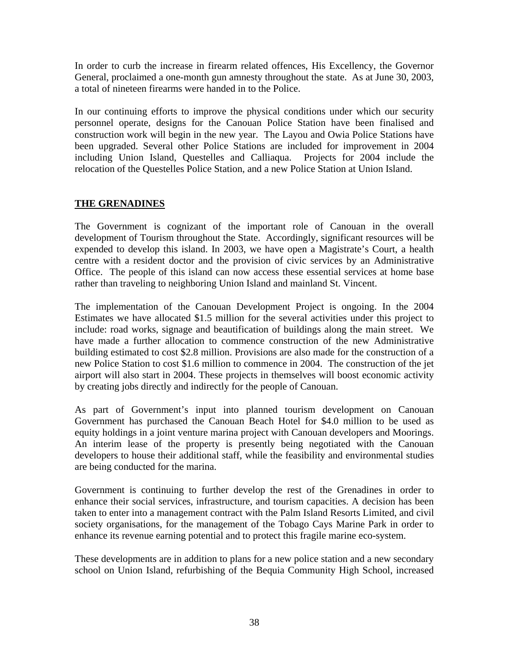In order to curb the increase in firearm related offences, His Excellency, the Governor General, proclaimed a one-month gun amnesty throughout the state. As at June 30, 2003, a total of nineteen firearms were handed in to the Police.

In our continuing efforts to improve the physical conditions under which our security personnel operate, designs for the Canouan Police Station have been finalised and construction work will begin in the new year. The Layou and Owia Police Stations have been upgraded. Several other Police Stations are included for improvement in 2004 including Union Island, Questelles and Calliaqua. Projects for 2004 include the relocation of the Questelles Police Station, and a new Police Station at Union Island.

## **THE GRENADINES**

The Government is cognizant of the important role of Canouan in the overall development of Tourism throughout the State. Accordingly, significant resources will be expended to develop this island. In 2003, we have open a Magistrate's Court, a health centre with a resident doctor and the provision of civic services by an Administrative Office. The people of this island can now access these essential services at home base rather than traveling to neighboring Union Island and mainland St. Vincent.

The implementation of the Canouan Development Project is ongoing. In the 2004 Estimates we have allocated \$1.5 million for the several activities under this project to include: road works, signage and beautification of buildings along the main street. We have made a further allocation to commence construction of the new Administrative building estimated to cost \$2.8 million. Provisions are also made for the construction of a new Police Station to cost \$1.6 million to commence in 2004. The construction of the jet airport will also start in 2004. These projects in themselves will boost economic activity by creating jobs directly and indirectly for the people of Canouan.

As part of Government's input into planned tourism development on Canouan Government has purchased the Canouan Beach Hotel for \$4.0 million to be used as equity holdings in a joint venture marina project with Canouan developers and Moorings. An interim lease of the property is presently being negotiated with the Canouan developers to house their additional staff, while the feasibility and environmental studies are being conducted for the marina.

Government is continuing to further develop the rest of the Grenadines in order to enhance their social services, infrastructure, and tourism capacities. A decision has been taken to enter into a management contract with the Palm Island Resorts Limited, and civil society organisations, for the management of the Tobago Cays Marine Park in order to enhance its revenue earning potential and to protect this fragile marine eco-system.

These developments are in addition to plans for a new police station and a new secondary school on Union Island, refurbishing of the Bequia Community High School, increased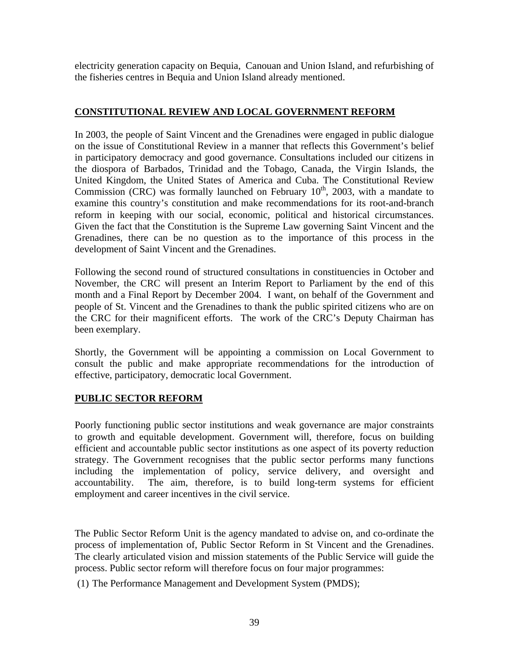electricity generation capacity on Bequia, Canouan and Union Island, and refurbishing of the fisheries centres in Bequia and Union Island already mentioned.

## **CONSTITUTIONAL REVIEW AND LOCAL GOVERNMENT REFORM**

In 2003, the people of Saint Vincent and the Grenadines were engaged in public dialogue on the issue of Constitutional Review in a manner that reflects this Government's belief in participatory democracy and good governance. Consultations included our citizens in the diospora of Barbados, Trinidad and the Tobago, Canada, the Virgin Islands, the United Kingdom, the United States of America and Cuba. The Constitutional Review Commission (CRC) was formally launched on February  $10<sup>th</sup>$ , 2003, with a mandate to examine this country's constitution and make recommendations for its root-and-branch reform in keeping with our social, economic, political and historical circumstances. Given the fact that the Constitution is the Supreme Law governing Saint Vincent and the Grenadines, there can be no question as to the importance of this process in the development of Saint Vincent and the Grenadines.

Following the second round of structured consultations in constituencies in October and November, the CRC will present an Interim Report to Parliament by the end of this month and a Final Report by December 2004. I want, on behalf of the Government and people of St. Vincent and the Grenadines to thank the public spirited citizens who are on the CRC for their magnificent efforts. The work of the CRC's Deputy Chairman has been exemplary.

Shortly, the Government will be appointing a commission on Local Government to consult the public and make appropriate recommendations for the introduction of effective, participatory, democratic local Government.

# **PUBLIC SECTOR REFORM**

Poorly functioning public sector institutions and weak governance are major constraints to growth and equitable development. Government will, therefore, focus on building efficient and accountable public sector institutions as one aspect of its poverty reduction strategy. The Government recognises that the public sector performs many functions including the implementation of policy, service delivery, and oversight and accountability. The aim, therefore, is to build long-term systems for efficient employment and career incentives in the civil service.

The Public Sector Reform Unit is the agency mandated to advise on, and co-ordinate the process of implementation of, Public Sector Reform in St Vincent and the Grenadines. The clearly articulated vision and mission statements of the Public Service will guide the process. Public sector reform will therefore focus on four major programmes:

(1) The Performance Management and Development System (PMDS);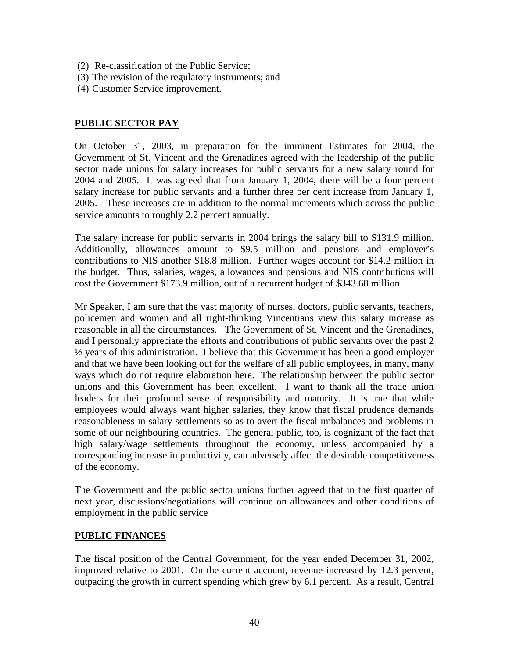- (2) Re-classification of the Public Service;
- (3) The revision of the regulatory instruments; and
- (4) Customer Service improvement.

### **PUBLIC SECTOR PAY**

On October 31, 2003, in preparation for the imminent Estimates for 2004, the Government of St. Vincent and the Grenadines agreed with the leadership of the public sector trade unions for salary increases for public servants for a new salary round for 2004 and 2005. It was agreed that from January 1, 2004, there will be a four percent salary increase for public servants and a further three per cent increase from January 1, 2005. These increases are in addition to the normal increments which across the public service amounts to roughly 2.2 percent annually.

The salary increase for public servants in 2004 brings the salary bill to \$131.9 million. Additionally, allowances amount to \$9.5 million and pensions and employer's contributions to NIS another \$18.8 million. Further wages account for \$14.2 million in the budget. Thus, salaries, wages, allowances and pensions and NIS contributions will cost the Government \$173.9 million, out of a recurrent budget of \$343.68 million.

Mr Speaker, I am sure that the vast majority of nurses, doctors, public servants, teachers, policemen and women and all right-thinking Vincentians view this salary increase as reasonable in all the circumstances. The Government of St. Vincent and the Grenadines, and I personally appreciate the efforts and contributions of public servants over the past 2  $\frac{1}{2}$  years of this administration. I believe that this Government has been a good employer and that we have been looking out for the welfare of all public employees, in many, many ways which do not require elaboration here. The relationship between the public sector unions and this Government has been excellent. I want to thank all the trade union leaders for their profound sense of responsibility and maturity. It is true that while employees would always want higher salaries, they know that fiscal prudence demands reasonableness in salary settlements so as to avert the fiscal imbalances and problems in some of our neighbouring countries. The general public, too, is cognizant of the fact that high salary/wage settlements throughout the economy, unless accompanied by a corresponding increase in productivity, can adversely affect the desirable competitiveness of the economy.

The Government and the public sector unions further agreed that in the first quarter of next year, discussions/negotiations will continue on allowances and other conditions of employment in the public service

#### **PUBLIC FINANCES**

The fiscal position of the Central Government, for the year ended December 31, 2002, improved relative to 2001. On the current account, revenue increased by 12.3 percent, outpacing the growth in current spending which grew by 6.1 percent. As a result, Central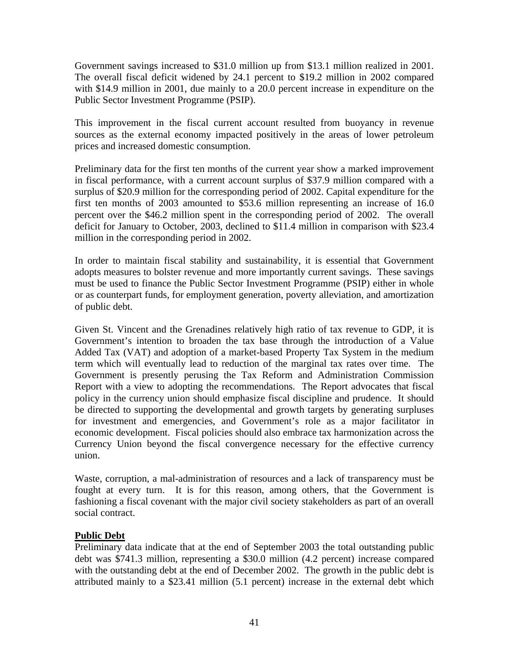Government savings increased to \$31.0 million up from \$13.1 million realized in 2001. The overall fiscal deficit widened by 24.1 percent to \$19.2 million in 2002 compared with \$14.9 million in 2001, due mainly to a 20.0 percent increase in expenditure on the Public Sector Investment Programme (PSIP).

This improvement in the fiscal current account resulted from buoyancy in revenue sources as the external economy impacted positively in the areas of lower petroleum prices and increased domestic consumption.

Preliminary data for the first ten months of the current year show a marked improvement in fiscal performance, with a current account surplus of \$37.9 million compared with a surplus of \$20.9 million for the corresponding period of 2002. Capital expenditure for the first ten months of 2003 amounted to \$53.6 million representing an increase of 16.0 percent over the \$46.2 million spent in the corresponding period of 2002. The overall deficit for January to October, 2003, declined to \$11.4 million in comparison with \$23.4 million in the corresponding period in 2002.

In order to maintain fiscal stability and sustainability, it is essential that Government adopts measures to bolster revenue and more importantly current savings. These savings must be used to finance the Public Sector Investment Programme (PSIP) either in whole or as counterpart funds, for employment generation, poverty alleviation, and amortization of public debt.

Given St. Vincent and the Grenadines relatively high ratio of tax revenue to GDP, it is Government's intention to broaden the tax base through the introduction of a Value Added Tax (VAT) and adoption of a market-based Property Tax System in the medium term which will eventually lead to reduction of the marginal tax rates over time. The Government is presently perusing the Tax Reform and Administration Commission Report with a view to adopting the recommendations. The Report advocates that fiscal policy in the currency union should emphasize fiscal discipline and prudence. It should be directed to supporting the developmental and growth targets by generating surpluses for investment and emergencies, and Government's role as a major facilitator in economic development. Fiscal policies should also embrace tax harmonization across the Currency Union beyond the fiscal convergence necessary for the effective currency union.

Waste, corruption, a mal-administration of resources and a lack of transparency must be fought at every turn. It is for this reason, among others, that the Government is fashioning a fiscal covenant with the major civil society stakeholders as part of an overall social contract.

## **Public Debt**

Preliminary data indicate that at the end of September 2003 the total outstanding public debt was \$741.3 million, representing a \$30.0 million (4.2 percent) increase compared with the outstanding debt at the end of December 2002. The growth in the public debt is attributed mainly to a \$23.41 million (5.1 percent) increase in the external debt which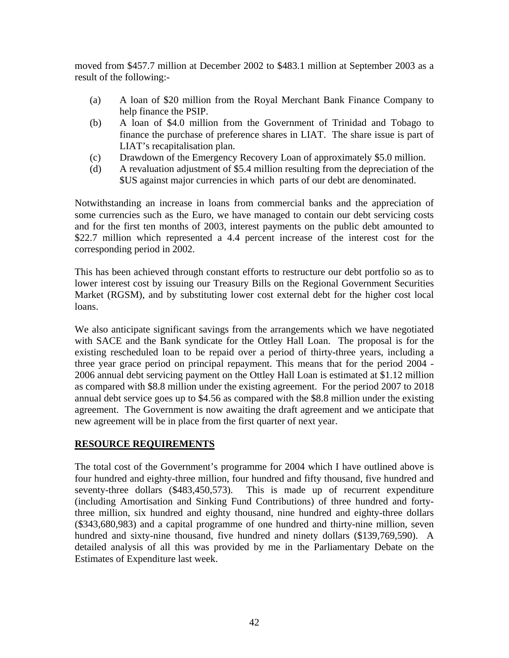moved from \$457.7 million at December 2002 to \$483.1 million at September 2003 as a result of the following:-

- (a) A loan of \$20 million from the Royal Merchant Bank Finance Company to help finance the PSIP.
- (b) A loan of \$4.0 million from the Government of Trinidad and Tobago to finance the purchase of preference shares in LIAT. The share issue is part of LIAT's recapitalisation plan.
- (c) Drawdown of the Emergency Recovery Loan of approximately \$5.0 million.
- (d) A revaluation adjustment of \$5.4 million resulting from the depreciation of the \$US against major currencies in which parts of our debt are denominated.

Notwithstanding an increase in loans from commercial banks and the appreciation of some currencies such as the Euro, we have managed to contain our debt servicing costs and for the first ten months of 2003, interest payments on the public debt amounted to \$22.7 million which represented a 4.4 percent increase of the interest cost for the corresponding period in 2002.

This has been achieved through constant efforts to restructure our debt portfolio so as to lower interest cost by issuing our Treasury Bills on the Regional Government Securities Market (RGSM), and by substituting lower cost external debt for the higher cost local loans.

We also anticipate significant savings from the arrangements which we have negotiated with SACE and the Bank syndicate for the Ottley Hall Loan. The proposal is for the existing rescheduled loan to be repaid over a period of thirty-three years, including a three year grace period on principal repayment. This means that for the period 2004 - 2006 annual debt servicing payment on the Ottley Hall Loan is estimated at \$1.12 million as compared with \$8.8 million under the existing agreement. For the period 2007 to 2018 annual debt service goes up to \$4.56 as compared with the \$8.8 million under the existing agreement. The Government is now awaiting the draft agreement and we anticipate that new agreement will be in place from the first quarter of next year.

## **RESOURCE REQUIREMENTS**

The total cost of the Government's programme for 2004 which I have outlined above is four hundred and eighty-three million, four hundred and fifty thousand, five hundred and seventy-three dollars (\$483,450,573). This is made up of recurrent expenditure (including Amortisation and Sinking Fund Contributions) of three hundred and fortythree million, six hundred and eighty thousand, nine hundred and eighty-three dollars (\$343,680,983) and a capital programme of one hundred and thirty-nine million, seven hundred and sixty-nine thousand, five hundred and ninety dollars (\$139,769,590). A detailed analysis of all this was provided by me in the Parliamentary Debate on the Estimates of Expenditure last week.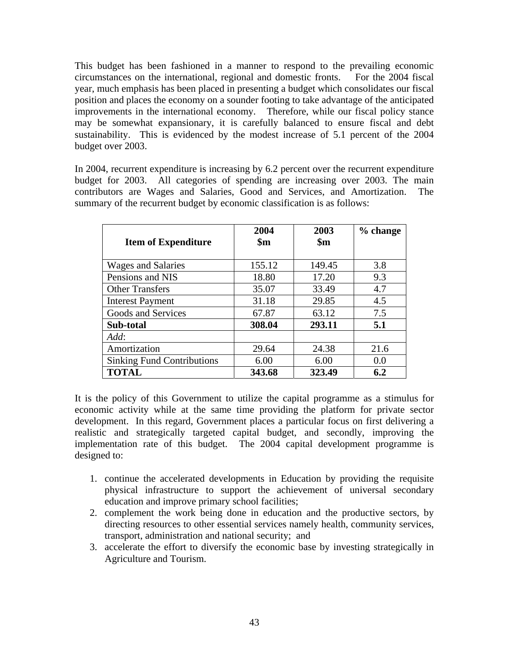This budget has been fashioned in a manner to respond to the prevailing economic circumstances on the international, regional and domestic fronts. For the 2004 fiscal year, much emphasis has been placed in presenting a budget which consolidates our fiscal position and places the economy on a sounder footing to take advantage of the anticipated improvements in the international economy. Therefore, while our fiscal policy stance may be somewhat expansionary, it is carefully balanced to ensure fiscal and debt sustainability. This is evidenced by the modest increase of 5.1 percent of the 2004 budget over 2003.

In 2004, recurrent expenditure is increasing by 6.2 percent over the recurrent expenditure budget for 2003. All categories of spending are increasing over 2003. The main contributors are Wages and Salaries, Good and Services, and Amortization. The summary of the recurrent budget by economic classification is as follows:

| <b>Item of Expenditure</b>        | 2004<br>$\mathbf{\$m}$ | 2003<br>$\mathbf{\$m}$ | % change |
|-----------------------------------|------------------------|------------------------|----------|
|                                   |                        |                        |          |
| <b>Wages and Salaries</b>         | 155.12                 | 149.45                 | 3.8      |
| Pensions and NIS                  | 18.80                  | 17.20                  | 9.3      |
| <b>Other Transfers</b>            | 35.07                  | 33.49                  | 4.7      |
| <b>Interest Payment</b>           | 31.18                  | 29.85                  | 4.5      |
| Goods and Services                | 67.87                  | 63.12                  | 7.5      |
| Sub-total                         | 308.04                 | 293.11                 | 5.1      |
| Add:                              |                        |                        |          |
| Amortization                      | 29.64                  | 24.38                  | 21.6     |
| <b>Sinking Fund Contributions</b> | 6.00                   | 6.00                   | 0.0      |
| <b>TOTAL</b>                      | 343.68                 | 323.49                 | 6.2      |

It is the policy of this Government to utilize the capital programme as a stimulus for economic activity while at the same time providing the platform for private sector development. In this regard, Government places a particular focus on first delivering a realistic and strategically targeted capital budget, and secondly, improving the implementation rate of this budget. The 2004 capital development programme is designed to:

- 1. continue the accelerated developments in Education by providing the requisite physical infrastructure to support the achievement of universal secondary education and improve primary school facilities;
- 2. complement the work being done in education and the productive sectors, by directing resources to other essential services namely health, community services, transport, administration and national security; and
- 3. accelerate the effort to diversify the economic base by investing strategically in Agriculture and Tourism.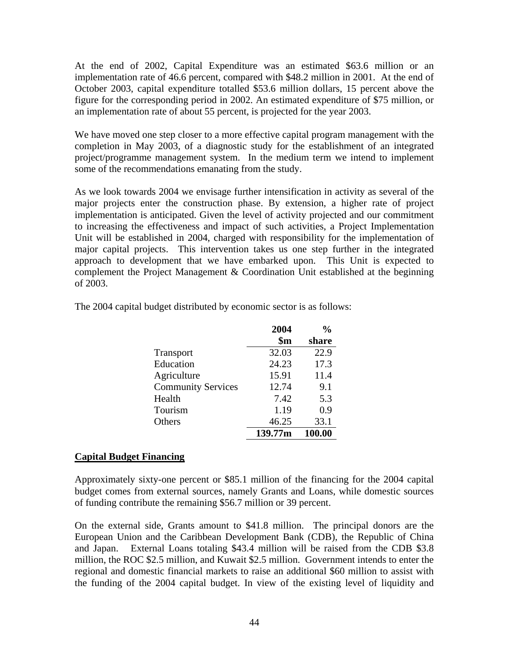At the end of 2002, Capital Expenditure was an estimated \$63.6 million or an implementation rate of 46.6 percent, compared with \$48.2 million in 2001. At the end of October 2003, capital expenditure totalled \$53.6 million dollars, 15 percent above the figure for the corresponding period in 2002. An estimated expenditure of \$75 million, or an implementation rate of about 55 percent, is projected for the year 2003.

We have moved one step closer to a more effective capital program management with the completion in May 2003, of a diagnostic study for the establishment of an integrated project/programme management system. In the medium term we intend to implement some of the recommendations emanating from the study.

As we look towards 2004 we envisage further intensification in activity as several of the major projects enter the construction phase. By extension, a higher rate of project implementation is anticipated. Given the level of activity projected and our commitment to increasing the effectiveness and impact of such activities, a Project Implementation Unit will be established in 2004, charged with responsibility for the implementation of major capital projects. This intervention takes us one step further in the integrated approach to development that we have embarked upon. This Unit is expected to complement the Project Management & Coordination Unit established at the beginning of 2003.

|                           | 2004           | $\frac{0}{0}$ |
|---------------------------|----------------|---------------|
|                           | $\mathbf{\$m}$ | share         |
| Transport                 | 32.03          | 22.9          |
| Education                 | 24.23          | 17.3          |
| Agriculture               | 15.91          | 11.4          |
| <b>Community Services</b> | 12.74          | 9.1           |
| Health                    | 7.42           | 5.3           |
| Tourism                   | 1.19           | 0.9           |
| Others                    | 46.25          | 33.1          |
|                           | 139.77m        | 100.00        |

The 2004 capital budget distributed by economic sector is as follows:

## **Capital Budget Financing**

Approximately sixty-one percent or \$85.1 million of the financing for the 2004 capital budget comes from external sources, namely Grants and Loans, while domestic sources of funding contribute the remaining \$56.7 million or 39 percent.

On the external side, Grants amount to \$41.8 million. The principal donors are the European Union and the Caribbean Development Bank (CDB), the Republic of China and Japan. External Loans totaling \$43.4 million will be raised from the CDB \$3.8 million, the ROC \$2.5 million, and Kuwait \$2.5 million. Government intends to enter the regional and domestic financial markets to raise an additional \$60 million to assist with the funding of the 2004 capital budget. In view of the existing level of liquidity and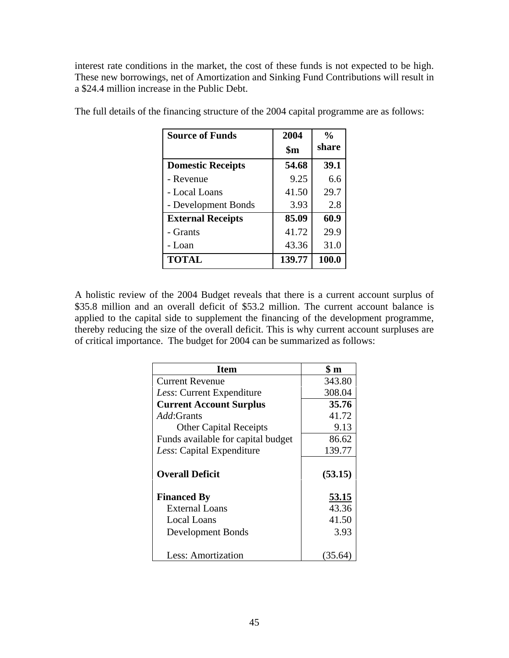interest rate conditions in the market, the cost of these funds is not expected to be high. These new borrowings, net of Amortization and Sinking Fund Contributions will result in a \$24.4 million increase in the Public Debt.

| <b>Source of Funds</b>   | 2004           | $\frac{0}{0}$ |
|--------------------------|----------------|---------------|
|                          | $\mathbf{\$m}$ | share         |
| <b>Domestic Receipts</b> | 54.68          | 39.1          |
| - Revenue                | 9.25           | 6.6           |
| - Local Loans            | 41.50          | 29.7          |
| - Development Bonds      | 3.93           | 2.8           |
| <b>External Receipts</b> | 85.09          | 60.9          |
| - Grants                 | 41.72          | 29.9          |
| - Loan                   | 43.36          | 31.0          |
| <b>TOTAL</b>             | 139.77         | 100.0         |

The full details of the financing structure of the 2004 capital programme are as follows:

A holistic review of the 2004 Budget reveals that there is a current account surplus of \$35.8 million and an overall deficit of \$53.2 million. The current account balance is applied to the capital side to supplement the financing of the development programme, thereby reducing the size of the overall deficit. This is why current account surpluses are of critical importance. The budget for 2004 can be summarized as follows:

| <b>Item</b>                        | $\sin$  |
|------------------------------------|---------|
| <b>Current Revenue</b>             | 343.80  |
| <i>Less:</i> Current Expenditure   | 308.04  |
| <b>Current Account Surplus</b>     | 35.76   |
| <i>Add</i> : Grants                | 41.72   |
| <b>Other Capital Receipts</b>      | 9.13    |
| Funds available for capital budget | 86.62   |
| Less: Capital Expenditure          | 139.77  |
| <b>Overall Deficit</b>             | (53.15) |
| <b>Financed By</b>                 | 53.15   |
| External Loans                     | 43.36   |
| Local Loans                        | 41.50   |
| Development Bonds                  | 3.93    |
| Less: Amortization                 | (35.64  |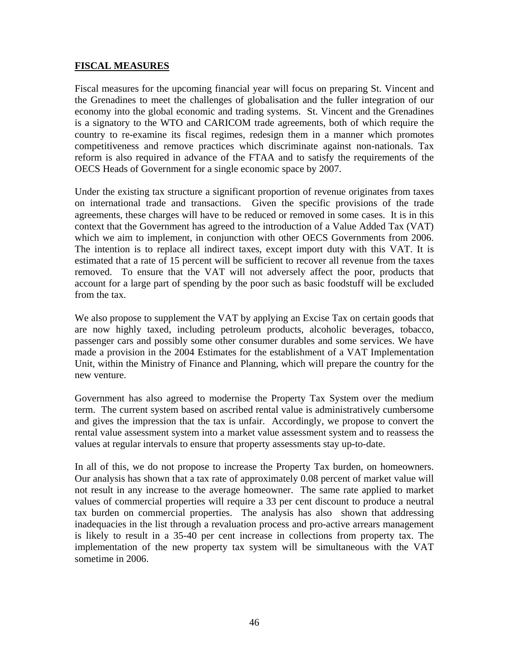#### **FISCAL MEASURES**

Fiscal measures for the upcoming financial year will focus on preparing St. Vincent and the Grenadines to meet the challenges of globalisation and the fuller integration of our economy into the global economic and trading systems. St. Vincent and the Grenadines is a signatory to the WTO and CARICOM trade agreements, both of which require the country to re-examine its fiscal regimes, redesign them in a manner which promotes competitiveness and remove practices which discriminate against non-nationals. Tax reform is also required in advance of the FTAA and to satisfy the requirements of the OECS Heads of Government for a single economic space by 2007.

Under the existing tax structure a significant proportion of revenue originates from taxes on international trade and transactions. Given the specific provisions of the trade agreements, these charges will have to be reduced or removed in some cases. It is in this context that the Government has agreed to the introduction of a Value Added Tax (VAT) which we aim to implement, in conjunction with other OECS Governments from 2006. The intention is to replace all indirect taxes, except import duty with this VAT. It is estimated that a rate of 15 percent will be sufficient to recover all revenue from the taxes removed. To ensure that the VAT will not adversely affect the poor, products that account for a large part of spending by the poor such as basic foodstuff will be excluded from the tax.

We also propose to supplement the VAT by applying an Excise Tax on certain goods that are now highly taxed, including petroleum products, alcoholic beverages, tobacco, passenger cars and possibly some other consumer durables and some services. We have made a provision in the 2004 Estimates for the establishment of a VAT Implementation Unit, within the Ministry of Finance and Planning, which will prepare the country for the new venture.

Government has also agreed to modernise the Property Tax System over the medium term. The current system based on ascribed rental value is administratively cumbersome and gives the impression that the tax is unfair. Accordingly, we propose to convert the rental value assessment system into a market value assessment system and to reassess the values at regular intervals to ensure that property assessments stay up-to-date.

In all of this, we do not propose to increase the Property Tax burden, on homeowners. Our analysis has shown that a tax rate of approximately 0.08 percent of market value will not result in any increase to the average homeowner. The same rate applied to market values of commercial properties will require a 33 per cent discount to produce a neutral tax burden on commercial properties. The analysis has also shown that addressing inadequacies in the list through a revaluation process and pro-active arrears management is likely to result in a 35-40 per cent increase in collections from property tax. The implementation of the new property tax system will be simultaneous with the VAT sometime in 2006.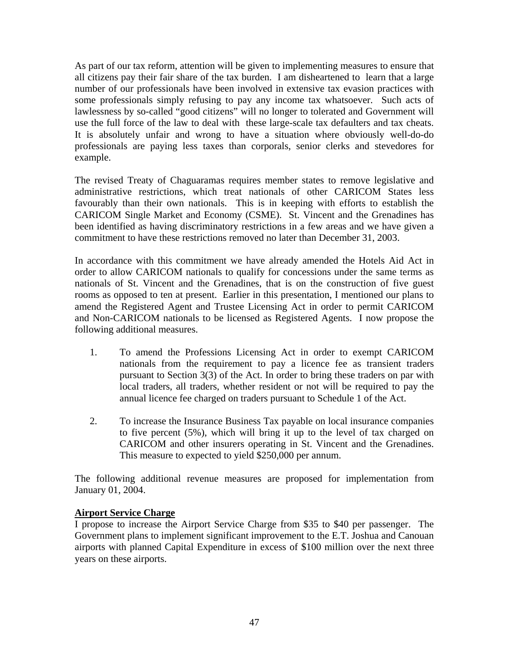As part of our tax reform, attention will be given to implementing measures to ensure that all citizens pay their fair share of the tax burden. I am disheartened to learn that a large number of our professionals have been involved in extensive tax evasion practices with some professionals simply refusing to pay any income tax whatsoever. Such acts of lawlessness by so-called "good citizens" will no longer to tolerated and Government will use the full force of the law to deal with these large-scale tax defaulters and tax cheats. It is absolutely unfair and wrong to have a situation where obviously well-do-do professionals are paying less taxes than corporals, senior clerks and stevedores for example.

The revised Treaty of Chaguaramas requires member states to remove legislative and administrative restrictions, which treat nationals of other CARICOM States less favourably than their own nationals. This is in keeping with efforts to establish the CARICOM Single Market and Economy (CSME). St. Vincent and the Grenadines has been identified as having discriminatory restrictions in a few areas and we have given a commitment to have these restrictions removed no later than December 31, 2003.

In accordance with this commitment we have already amended the Hotels Aid Act in order to allow CARICOM nationals to qualify for concessions under the same terms as nationals of St. Vincent and the Grenadines, that is on the construction of five guest rooms as opposed to ten at present. Earlier in this presentation, I mentioned our plans to amend the Registered Agent and Trustee Licensing Act in order to permit CARICOM and Non-CARICOM nationals to be licensed as Registered Agents. I now propose the following additional measures.

- 1. To amend the Professions Licensing Act in order to exempt CARICOM nationals from the requirement to pay a licence fee as transient traders pursuant to Section 3(3) of the Act. In order to bring these traders on par with local traders, all traders, whether resident or not will be required to pay the annual licence fee charged on traders pursuant to Schedule 1 of the Act.
- 2. To increase the Insurance Business Tax payable on local insurance companies to five percent (5%), which will bring it up to the level of tax charged on CARICOM and other insurers operating in St. Vincent and the Grenadines. This measure to expected to yield \$250,000 per annum.

The following additional revenue measures are proposed for implementation from January 01, 2004.

## **Airport Service Charge**

I propose to increase the Airport Service Charge from \$35 to \$40 per passenger. The Government plans to implement significant improvement to the E.T. Joshua and Canouan airports with planned Capital Expenditure in excess of \$100 million over the next three years on these airports.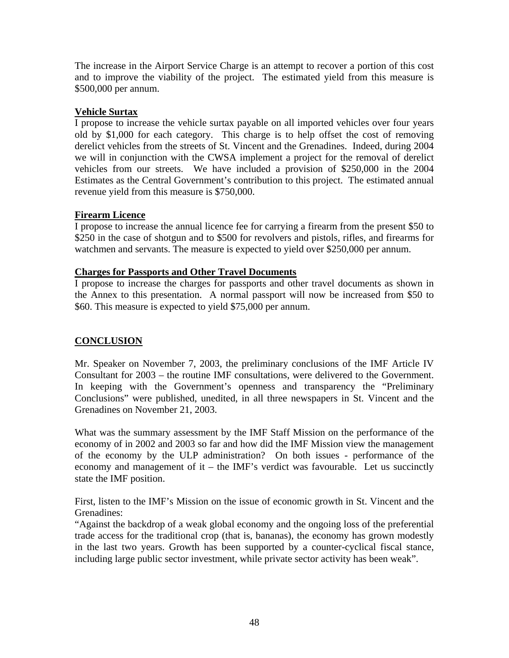The increase in the Airport Service Charge is an attempt to recover a portion of this cost and to improve the viability of the project. The estimated yield from this measure is \$500,000 per annum.

## **Vehicle Surtax**

I propose to increase the vehicle surtax payable on all imported vehicles over four years old by \$1,000 for each category. This charge is to help offset the cost of removing derelict vehicles from the streets of St. Vincent and the Grenadines. Indeed, during 2004 we will in conjunction with the CWSA implement a project for the removal of derelict vehicles from our streets. We have included a provision of \$250,000 in the 2004 Estimates as the Central Government's contribution to this project. The estimated annual revenue yield from this measure is \$750,000.

## **Firearm Licence**

I propose to increase the annual licence fee for carrying a firearm from the present \$50 to \$250 in the case of shotgun and to \$500 for revolvers and pistols, rifles, and firearms for watchmen and servants. The measure is expected to yield over \$250,000 per annum.

## **Charges for Passports and Other Travel Documents**

I propose to increase the charges for passports and other travel documents as shown in the Annex to this presentation. A normal passport will now be increased from \$50 to \$60. This measure is expected to yield \$75,000 per annum.

# **CONCLUSION**

Mr. Speaker on November 7, 2003, the preliminary conclusions of the IMF Article IV Consultant for 2003 – the routine IMF consultations, were delivered to the Government. In keeping with the Government's openness and transparency the "Preliminary Conclusions" were published, unedited, in all three newspapers in St. Vincent and the Grenadines on November 21, 2003.

What was the summary assessment by the IMF Staff Mission on the performance of the economy of in 2002 and 2003 so far and how did the IMF Mission view the management of the economy by the ULP administration? On both issues - performance of the economy and management of it – the IMF's verdict was favourable. Let us succinctly state the IMF position.

First, listen to the IMF's Mission on the issue of economic growth in St. Vincent and the Grenadines:

"Against the backdrop of a weak global economy and the ongoing loss of the preferential trade access for the traditional crop (that is, bananas), the economy has grown modestly in the last two years. Growth has been supported by a counter-cyclical fiscal stance, including large public sector investment, while private sector activity has been weak".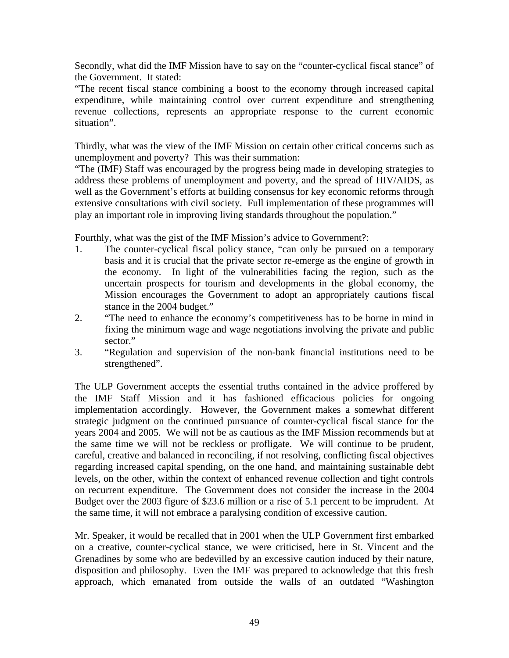Secondly, what did the IMF Mission have to say on the "counter-cyclical fiscal stance" of the Government. It stated:

"The recent fiscal stance combining a boost to the economy through increased capital expenditure, while maintaining control over current expenditure and strengthening revenue collections, represents an appropriate response to the current economic situation".

Thirdly, what was the view of the IMF Mission on certain other critical concerns such as unemployment and poverty? This was their summation:

"The (IMF) Staff was encouraged by the progress being made in developing strategies to address these problems of unemployment and poverty, and the spread of HIV/AIDS, as well as the Government's efforts at building consensus for key economic reforms through extensive consultations with civil society. Full implementation of these programmes will play an important role in improving living standards throughout the population."

Fourthly, what was the gist of the IMF Mission's advice to Government?:

- 1. The counter-cyclical fiscal policy stance, "can only be pursued on a temporary basis and it is crucial that the private sector re-emerge as the engine of growth in the economy. In light of the vulnerabilities facing the region, such as the uncertain prospects for tourism and developments in the global economy, the Mission encourages the Government to adopt an appropriately cautions fiscal stance in the 2004 budget."
- 2. "The need to enhance the economy's competitiveness has to be borne in mind in fixing the minimum wage and wage negotiations involving the private and public sector."
- 3. "Regulation and supervision of the non-bank financial institutions need to be strengthened".

The ULP Government accepts the essential truths contained in the advice proffered by the IMF Staff Mission and it has fashioned efficacious policies for ongoing implementation accordingly. However, the Government makes a somewhat different strategic judgment on the continued pursuance of counter-cyclical fiscal stance for the years 2004 and 2005. We will not be as cautious as the IMF Mission recommends but at the same time we will not be reckless or profligate. We will continue to be prudent, careful, creative and balanced in reconciling, if not resolving, conflicting fiscal objectives regarding increased capital spending, on the one hand, and maintaining sustainable debt levels, on the other, within the context of enhanced revenue collection and tight controls on recurrent expenditure. The Government does not consider the increase in the 2004 Budget over the 2003 figure of \$23.6 million or a rise of 5.1 percent to be imprudent. At the same time, it will not embrace a paralysing condition of excessive caution.

Mr. Speaker, it would be recalled that in 2001 when the ULP Government first embarked on a creative, counter-cyclical stance, we were criticised, here in St. Vincent and the Grenadines by some who are bedevilled by an excessive caution induced by their nature, disposition and philosophy. Even the IMF was prepared to acknowledge that this fresh approach, which emanated from outside the walls of an outdated "Washington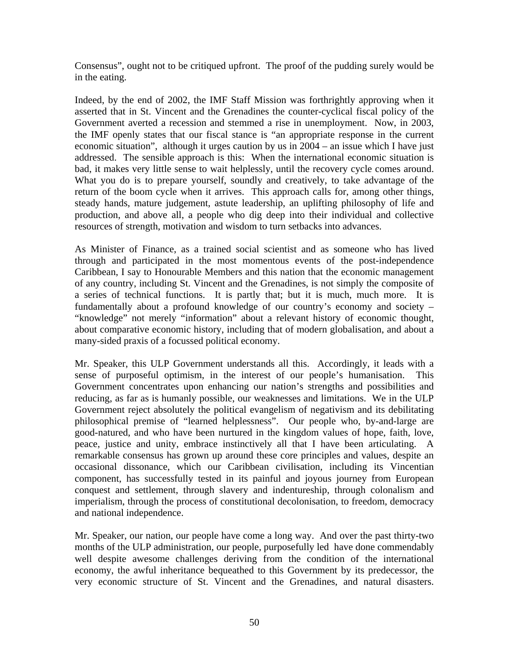Consensus", ought not to be critiqued upfront. The proof of the pudding surely would be in the eating.

Indeed, by the end of 2002, the IMF Staff Mission was forthrightly approving when it asserted that in St. Vincent and the Grenadines the counter-cyclical fiscal policy of the Government averted a recession and stemmed a rise in unemployment. Now, in 2003, the IMF openly states that our fiscal stance is "an appropriate response in the current economic situation", although it urges caution by us in 2004 – an issue which I have just addressed. The sensible approach is this: When the international economic situation is bad, it makes very little sense to wait helplessly, until the recovery cycle comes around. What you do is to prepare yourself, soundly and creatively, to take advantage of the return of the boom cycle when it arrives. This approach calls for, among other things, steady hands, mature judgement, astute leadership, an uplifting philosophy of life and production, and above all, a people who dig deep into their individual and collective resources of strength, motivation and wisdom to turn setbacks into advances.

As Minister of Finance, as a trained social scientist and as someone who has lived through and participated in the most momentous events of the post-independence Caribbean, I say to Honourable Members and this nation that the economic management of any country, including St. Vincent and the Grenadines, is not simply the composite of a series of technical functions. It is partly that; but it is much, much more. It is fundamentally about a profound knowledge of our country's economy and society – "knowledge" not merely "information" about a relevant history of economic thought, about comparative economic history, including that of modern globalisation, and about a many-sided praxis of a focussed political economy.

Mr. Speaker, this ULP Government understands all this. Accordingly, it leads with a sense of purposeful optimism, in the interest of our people's humanisation. This Government concentrates upon enhancing our nation's strengths and possibilities and reducing, as far as is humanly possible, our weaknesses and limitations. We in the ULP Government reject absolutely the political evangelism of negativism and its debilitating philosophical premise of "learned helplessness". Our people who, by-and-large are good-natured, and who have been nurtured in the kingdom values of hope, faith, love, peace, justice and unity, embrace instinctively all that I have been articulating. A remarkable consensus has grown up around these core principles and values, despite an occasional dissonance, which our Caribbean civilisation, including its Vincentian component, has successfully tested in its painful and joyous journey from European conquest and settlement, through slavery and indentureship, through colonalism and imperialism, through the process of constitutional decolonisation, to freedom, democracy and national independence.

Mr. Speaker, our nation, our people have come a long way. And over the past thirty-two months of the ULP administration, our people, purposefully led have done commendably well despite awesome challenges deriving from the condition of the international economy, the awful inheritance bequeathed to this Government by its predecessor, the very economic structure of St. Vincent and the Grenadines, and natural disasters.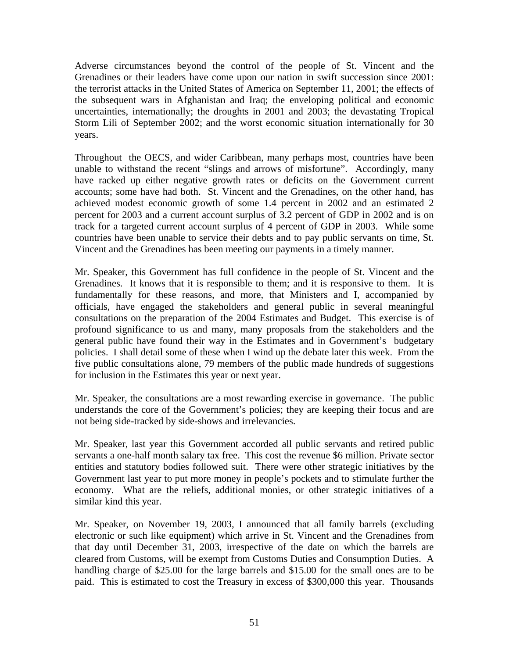Adverse circumstances beyond the control of the people of St. Vincent and the Grenadines or their leaders have come upon our nation in swift succession since 2001: the terrorist attacks in the United States of America on September 11, 2001; the effects of the subsequent wars in Afghanistan and Iraq; the enveloping political and economic uncertainties, internationally; the droughts in 2001 and 2003; the devastating Tropical Storm Lili of September 2002; and the worst economic situation internationally for 30 years.

Throughout the OECS, and wider Caribbean, many perhaps most, countries have been unable to withstand the recent "slings and arrows of misfortune". Accordingly, many have racked up either negative growth rates or deficits on the Government current accounts; some have had both. St. Vincent and the Grenadines, on the other hand, has achieved modest economic growth of some 1.4 percent in 2002 and an estimated 2 percent for 2003 and a current account surplus of 3.2 percent of GDP in 2002 and is on track for a targeted current account surplus of 4 percent of GDP in 2003. While some countries have been unable to service their debts and to pay public servants on time, St. Vincent and the Grenadines has been meeting our payments in a timely manner.

Mr. Speaker, this Government has full confidence in the people of St. Vincent and the Grenadines. It knows that it is responsible to them; and it is responsive to them. It is fundamentally for these reasons, and more, that Ministers and I, accompanied by officials, have engaged the stakeholders and general public in several meaningful consultations on the preparation of the 2004 Estimates and Budget. This exercise is of profound significance to us and many, many proposals from the stakeholders and the general public have found their way in the Estimates and in Government's budgetary policies. I shall detail some of these when I wind up the debate later this week. From the five public consultations alone, 79 members of the public made hundreds of suggestions for inclusion in the Estimates this year or next year.

Mr. Speaker, the consultations are a most rewarding exercise in governance. The public understands the core of the Government's policies; they are keeping their focus and are not being side-tracked by side-shows and irrelevancies.

Mr. Speaker, last year this Government accorded all public servants and retired public servants a one-half month salary tax free. This cost the revenue \$6 million. Private sector entities and statutory bodies followed suit. There were other strategic initiatives by the Government last year to put more money in people's pockets and to stimulate further the economy. What are the reliefs, additional monies, or other strategic initiatives of a similar kind this year.

Mr. Speaker, on November 19, 2003, I announced that all family barrels (excluding electronic or such like equipment) which arrive in St. Vincent and the Grenadines from that day until December 31, 2003, irrespective of the date on which the barrels are cleared from Customs, will be exempt from Customs Duties and Consumption Duties. A handling charge of \$25.00 for the large barrels and \$15.00 for the small ones are to be paid. This is estimated to cost the Treasury in excess of \$300,000 this year. Thousands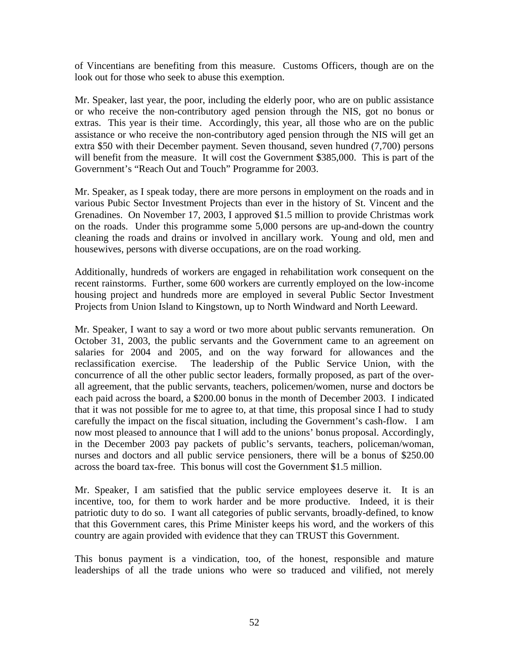of Vincentians are benefiting from this measure. Customs Officers, though are on the look out for those who seek to abuse this exemption.

Mr. Speaker, last year, the poor, including the elderly poor, who are on public assistance or who receive the non-contributory aged pension through the NIS, got no bonus or extras. This year is their time. Accordingly, this year, all those who are on the public assistance or who receive the non-contributory aged pension through the NIS will get an extra \$50 with their December payment. Seven thousand, seven hundred (7,700) persons will benefit from the measure. It will cost the Government \$385,000. This is part of the Government's "Reach Out and Touch" Programme for 2003.

Mr. Speaker, as I speak today, there are more persons in employment on the roads and in various Pubic Sector Investment Projects than ever in the history of St. Vincent and the Grenadines. On November 17, 2003, I approved \$1.5 million to provide Christmas work on the roads. Under this programme some 5,000 persons are up-and-down the country cleaning the roads and drains or involved in ancillary work. Young and old, men and housewives, persons with diverse occupations, are on the road working.

Additionally, hundreds of workers are engaged in rehabilitation work consequent on the recent rainstorms. Further, some 600 workers are currently employed on the low-income housing project and hundreds more are employed in several Public Sector Investment Projects from Union Island to Kingstown, up to North Windward and North Leeward.

Mr. Speaker, I want to say a word or two more about public servants remuneration. On October 31, 2003, the public servants and the Government came to an agreement on salaries for 2004 and 2005, and on the way forward for allowances and the reclassification exercise. The leadership of the Public Service Union, with the concurrence of all the other public sector leaders, formally proposed, as part of the overall agreement, that the public servants, teachers, policemen/women, nurse and doctors be each paid across the board, a \$200.00 bonus in the month of December 2003. I indicated that it was not possible for me to agree to, at that time, this proposal since I had to study carefully the impact on the fiscal situation, including the Government's cash-flow. I am now most pleased to announce that I will add to the unions' bonus proposal. Accordingly, in the December 2003 pay packets of public's servants, teachers, policeman/woman, nurses and doctors and all public service pensioners, there will be a bonus of \$250.00 across the board tax-free. This bonus will cost the Government \$1.5 million.

Mr. Speaker, I am satisfied that the public service employees deserve it. It is an incentive, too, for them to work harder and be more productive. Indeed, it is their patriotic duty to do so. I want all categories of public servants, broadly-defined, to know that this Government cares, this Prime Minister keeps his word, and the workers of this country are again provided with evidence that they can TRUST this Government.

This bonus payment is a vindication, too, of the honest, responsible and mature leaderships of all the trade unions who were so traduced and vilified, not merely